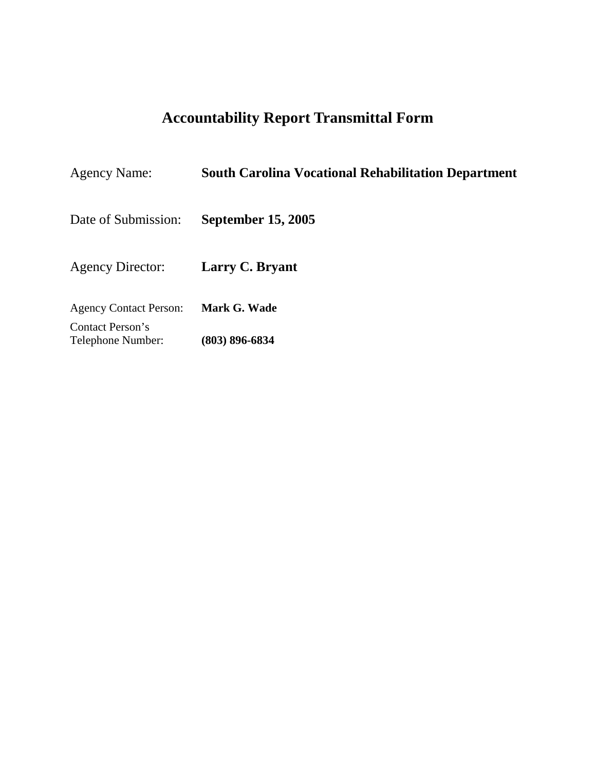# **Accountability Report Transmittal Form**

| <b>Agency Name:</b>                   | <b>South Carolina Vocational Rehabilitation Department</b> |
|---------------------------------------|------------------------------------------------------------|
| Date of Submission:                   | <b>September 15, 2005</b>                                  |
| <b>Agency Director:</b>               | Larry C. Bryant                                            |
| <b>Agency Contact Person:</b>         | Mark G. Wade                                               |
| Contact Person's<br>Telephone Number: | $(803) 896 - 6834$                                         |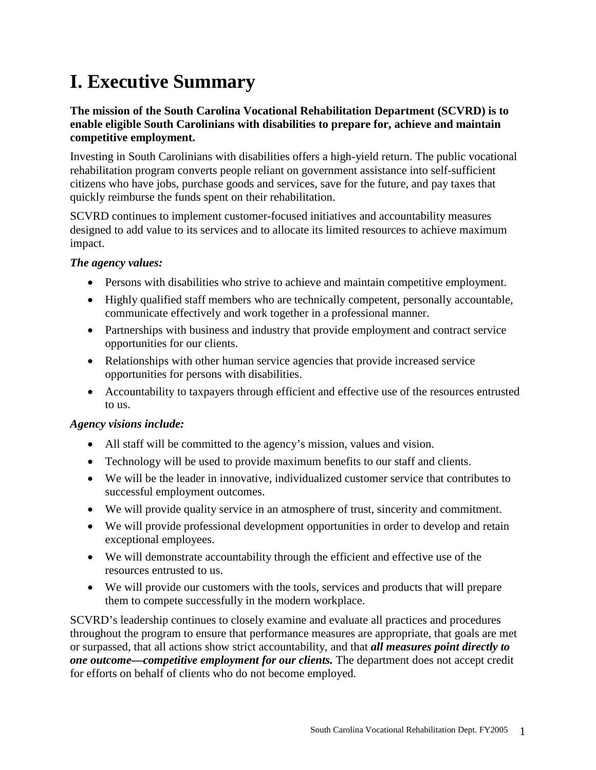# **I. Executive Summary**

# **The mission of the South Carolina Vocational Rehabilitation Department (SCVRD) is to enable eligible South Carolinians with disabilities to prepare for, achieve and maintain competitive employment.**

Investing in South Carolinians with disabilities offers a high-yield return. The public vocational rehabilitation program converts people reliant on government assistance into self-sufficient citizens who have jobs, purchase goods and services, save for the future, and pay taxes that quickly reimburse the funds spent on their rehabilitation.

SCVRD continues to implement customer-focused initiatives and accountability measures designed to add value to its services and to allocate its limited resources to achieve maximum impact.

# *The agency values:*

- Persons with disabilities who strive to achieve and maintain competitive employment.
- Highly qualified staff members who are technically competent, personally accountable, communicate effectively and work together in a professional manner.
- Partnerships with business and industry that provide employment and contract service opportunities for our clients.
- Relationships with other human service agencies that provide increased service opportunities for persons with disabilities.
- Accountability to taxpayers through efficient and effective use of the resources entrusted to us.

# *Agency visions include:*

- All staff will be committed to the agency's mission, values and vision.
- Technology will be used to provide maximum benefits to our staff and clients.
- We will be the leader in innovative, individualized customer service that contributes to successful employment outcomes.
- We will provide quality service in an atmosphere of trust, sincerity and commitment.
- We will provide professional development opportunities in order to develop and retain exceptional employees.
- We will demonstrate accountability through the efficient and effective use of the resources entrusted to us.
- We will provide our customers with the tools, services and products that will prepare them to compete successfully in the modern workplace.

SCVRD's leadership continues to closely examine and evaluate all practices and procedures throughout the program to ensure that performance measures are appropriate, that goals are met or surpassed, that all actions show strict accountability, and that *all measures point directly to one outcome—competitive employment for our clients.* The department does not accept credit for efforts on behalf of clients who do not become employed.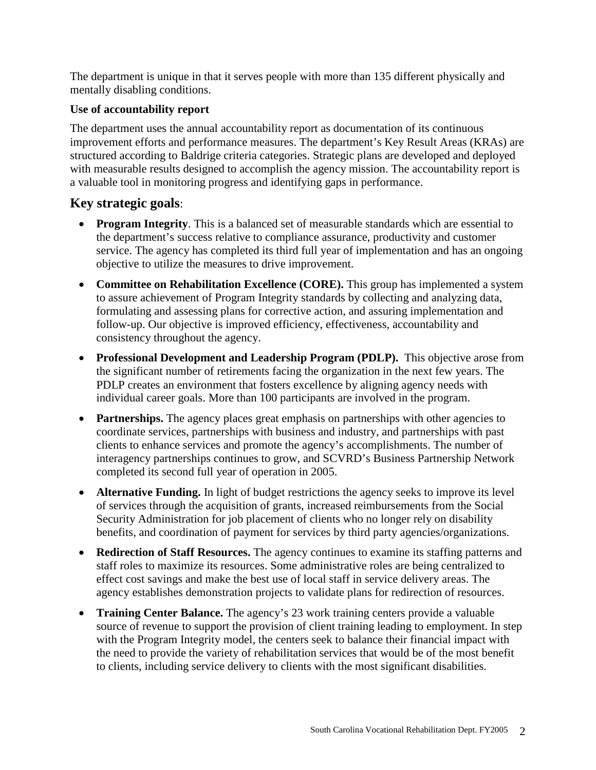The department is unique in that it serves people with more than 135 different physically and mentally disabling conditions.

# **Use of accountability report**

The department uses the annual accountability report as documentation of its continuous improvement efforts and performance measures. The department's Key Result Areas (KRAs) are structured according to Baldrige criteria categories. Strategic plans are developed and deployed with measurable results designed to accomplish the agency mission. The accountability report is a valuable tool in monitoring progress and identifying gaps in performance.

# **Key strategic goals**:

- **Program Integrity**. This is a balanced set of measurable standards which are essential to the department's success relative to compliance assurance, productivity and customer service. The agency has completed its third full year of implementation and has an ongoing objective to utilize the measures to drive improvement.
- **Committee on Rehabilitation Excellence (CORE).** This group has implemented a system to assure achievement of Program Integrity standards by collecting and analyzing data, formulating and assessing plans for corrective action, and assuring implementation and follow-up. Our objective is improved efficiency, effectiveness, accountability and consistency throughout the agency.
- **Professional Development and Leadership Program (PDLP).** This objective arose from the significant number of retirements facing the organization in the next few years. The PDLP creates an environment that fosters excellence by aligning agency needs with individual career goals. More than 100 participants are involved in the program.
- **Partnerships.** The agency places great emphasis on partnerships with other agencies to coordinate services, partnerships with business and industry, and partnerships with past clients to enhance services and promote the agency's accomplishments. The number of interagency partnerships continues to grow, and SCVRD's Business Partnership Network completed its second full year of operation in 2005.
- **Alternative Funding.** In light of budget restrictions the agency seeks to improve its level of services through the acquisition of grants, increased reimbursements from the Social Security Administration for job placement of clients who no longer rely on disability benefits, and coordination of payment for services by third party agencies/organizations.
- **Redirection of Staff Resources.** The agency continues to examine its staffing patterns and staff roles to maximize its resources. Some administrative roles are being centralized to effect cost savings and make the best use of local staff in service delivery areas. The agency establishes demonstration projects to validate plans for redirection of resources.
- **Training Center Balance.** The agency's 23 work training centers provide a valuable source of revenue to support the provision of client training leading to employment. In step with the Program Integrity model, the centers seek to balance their financial impact with the need to provide the variety of rehabilitation services that would be of the most benefit to clients, including service delivery to clients with the most significant disabilities.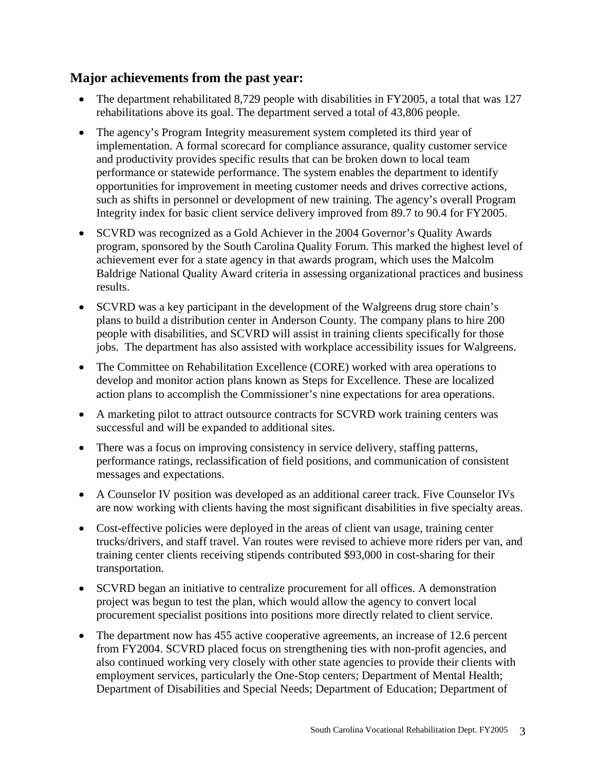# **Major achievements from the past year:**

- The department rehabilitated 8,729 people with disabilities in FY2005, a total that was 127 rehabilitations above its goal. The department served a total of 43,806 people.
- The agency's Program Integrity measurement system completed its third year of implementation. A formal scorecard for compliance assurance, quality customer service and productivity provides specific results that can be broken down to local team performance or statewide performance. The system enables the department to identify opportunities for improvement in meeting customer needs and drives corrective actions, such as shifts in personnel or development of new training. The agency's overall Program Integrity index for basic client service delivery improved from 89.7 to 90.4 for FY2005.
- SCVRD was recognized as a Gold Achiever in the 2004 Governor's Quality Awards program, sponsored by the South Carolina Quality Forum. This marked the highest level of achievement ever for a state agency in that awards program, which uses the Malcolm Baldrige National Quality Award criteria in assessing organizational practices and business results.
- SCVRD was a key participant in the development of the Walgreens drug store chain's plans to build a distribution center in Anderson County. The company plans to hire 200 people with disabilities, and SCVRD will assist in training clients specifically for those jobs. The department has also assisted with workplace accessibility issues for Walgreens.
- The Committee on Rehabilitation Excellence (CORE) worked with area operations to develop and monitor action plans known as Steps for Excellence. These are localized action plans to accomplish the Commissioner's nine expectations for area operations.
- A marketing pilot to attract outsource contracts for SCVRD work training centers was successful and will be expanded to additional sites.
- There was a focus on improving consistency in service delivery, staffing patterns, performance ratings, reclassification of field positions, and communication of consistent messages and expectations.
- A Counselor IV position was developed as an additional career track. Five Counselor IVs are now working with clients having the most significant disabilities in five specialty areas.
- Cost-effective policies were deployed in the areas of client van usage, training center trucks/drivers, and staff travel. Van routes were revised to achieve more riders per van, and training center clients receiving stipends contributed \$93,000 in cost-sharing for their transportation.
- SCVRD began an initiative to centralize procurement for all offices. A demonstration project was begun to test the plan, which would allow the agency to convert local procurement specialist positions into positions more directly related to client service.
- The department now has 455 active cooperative agreements, an increase of 12.6 percent from FY2004. SCVRD placed focus on strengthening ties with non-profit agencies, and also continued working very closely with other state agencies to provide their clients with employment services, particularly the One-Stop centers; Department of Mental Health; Department of Disabilities and Special Needs; Department of Education; Department of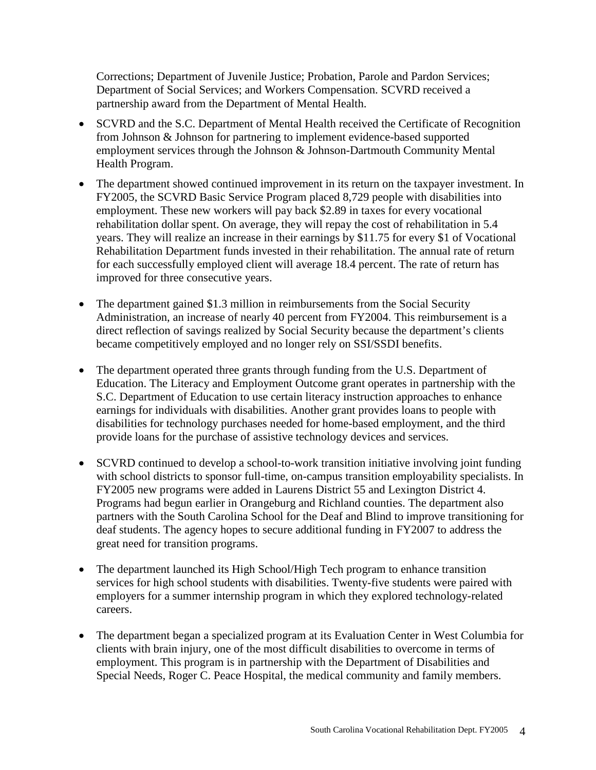Corrections; Department of Juvenile Justice; Probation, Parole and Pardon Services; Department of Social Services; and Workers Compensation. SCVRD received a partnership award from the Department of Mental Health.

- SCVRD and the S.C. Department of Mental Health received the Certificate of Recognition from Johnson & Johnson for partnering to implement evidence-based supported employment services through the Johnson & Johnson-Dartmouth Community Mental Health Program.
- The department showed continued improvement in its return on the taxpayer investment. In FY2005, the SCVRD Basic Service Program placed 8,729 people with disabilities into employment. These new workers will pay back \$2.89 in taxes for every vocational rehabilitation dollar spent. On average, they will repay the cost of rehabilitation in 5.4 years. They will realize an increase in their earnings by \$11.75 for every \$1 of Vocational Rehabilitation Department funds invested in their rehabilitation. The annual rate of return for each successfully employed client will average 18.4 percent. The rate of return has improved for three consecutive years.
- The department gained \$1.3 million in reimbursements from the Social Security Administration, an increase of nearly 40 percent from FY2004. This reimbursement is a direct reflection of savings realized by Social Security because the department's clients became competitively employed and no longer rely on SSI/SSDI benefits.
- The department operated three grants through funding from the U.S. Department of Education. The Literacy and Employment Outcome grant operates in partnership with the S.C. Department of Education to use certain literacy instruction approaches to enhance earnings for individuals with disabilities. Another grant provides loans to people with disabilities for technology purchases needed for home-based employment, and the third provide loans for the purchase of assistive technology devices and services.
- SCVRD continued to develop a school-to-work transition initiative involving joint funding with school districts to sponsor full-time, on-campus transition employability specialists. In FY2005 new programs were added in Laurens District 55 and Lexington District 4. Programs had begun earlier in Orangeburg and Richland counties. The department also partners with the South Carolina School for the Deaf and Blind to improve transitioning for deaf students. The agency hopes to secure additional funding in FY2007 to address the great need for transition programs.
- The department launched its High School/High Tech program to enhance transition services for high school students with disabilities. Twenty-five students were paired with employers for a summer internship program in which they explored technology-related careers.
- The department began a specialized program at its Evaluation Center in West Columbia for clients with brain injury, one of the most difficult disabilities to overcome in terms of employment. This program is in partnership with the Department of Disabilities and Special Needs, Roger C. Peace Hospital, the medical community and family members.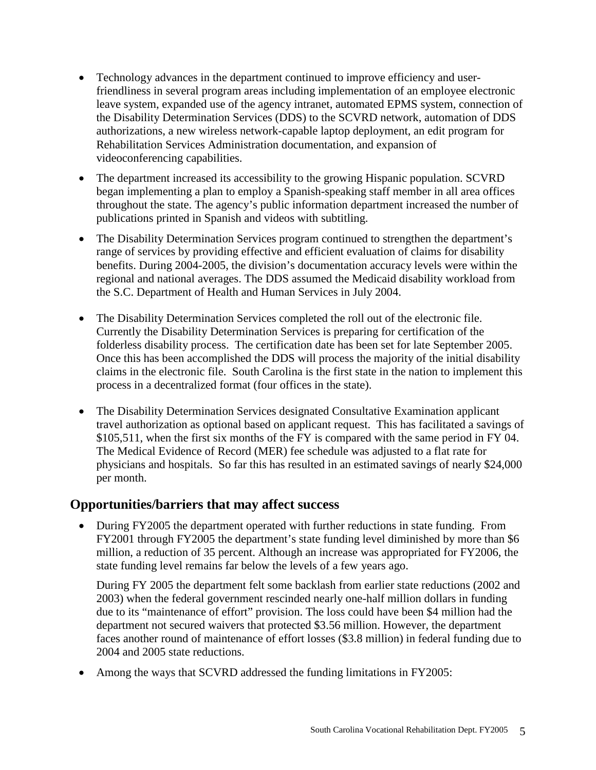- Technology advances in the department continued to improve efficiency and userfriendliness in several program areas including implementation of an employee electronic leave system, expanded use of the agency intranet, automated EPMS system, connection of the Disability Determination Services (DDS) to the SCVRD network, automation of DDS authorizations, a new wireless network-capable laptop deployment, an edit program for Rehabilitation Services Administration documentation, and expansion of videoconferencing capabilities.
- The department increased its accessibility to the growing Hispanic population. SCVRD began implementing a plan to employ a Spanish-speaking staff member in all area offices throughout the state. The agency's public information department increased the number of publications printed in Spanish and videos with subtitling.
- The Disability Determination Services program continued to strengthen the department's range of services by providing effective and efficient evaluation of claims for disability benefits. During 2004-2005, the division's documentation accuracy levels were within the regional and national averages. The DDS assumed the Medicaid disability workload from the S.C. Department of Health and Human Services in July 2004.
- The Disability Determination Services completed the roll out of the electronic file. Currently the Disability Determination Services is preparing for certification of the folderless disability process. The certification date has been set for late September 2005. Once this has been accomplished the DDS will process the majority of the initial disability claims in the electronic file. South Carolina is the first state in the nation to implement this process in a decentralized format (four offices in the state).
- The Disability Determination Services designated Consultative Examination applicant travel authorization as optional based on applicant request. This has facilitated a savings of \$105,511, when the first six months of the FY is compared with the same period in FY 04. The Medical Evidence of Record (MER) fee schedule was adjusted to a flat rate for physicians and hospitals. So far this has resulted in an estimated savings of nearly \$24,000 per month.

# **Opportunities/barriers that may affect success**

• During FY2005 the department operated with further reductions in state funding. From FY2001 through FY2005 the department's state funding level diminished by more than \$6 million, a reduction of 35 percent. Although an increase was appropriated for FY2006, the state funding level remains far below the levels of a few years ago.

During FY 2005 the department felt some backlash from earlier state reductions (2002 and 2003) when the federal government rescinded nearly one-half million dollars in funding due to its "maintenance of effort" provision. The loss could have been \$4 million had the department not secured waivers that protected \$3.56 million. However, the department faces another round of maintenance of effort losses (\$3.8 million) in federal funding due to 2004 and 2005 state reductions.

• Among the ways that SCVRD addressed the funding limitations in FY2005: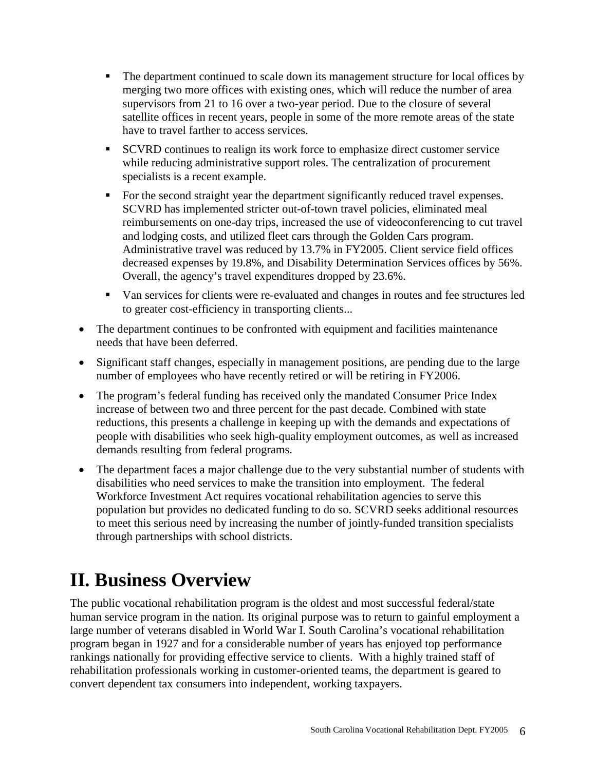- The department continued to scale down its management structure for local offices by merging two more offices with existing ones, which will reduce the number of area supervisors from 21 to 16 over a two-year period. Due to the closure of several satellite offices in recent years, people in some of the more remote areas of the state have to travel farther to access services.
- SCVRD continues to realign its work force to emphasize direct customer service while reducing administrative support roles. The centralization of procurement specialists is a recent example.
- For the second straight year the department significantly reduced travel expenses. SCVRD has implemented stricter out-of-town travel policies, eliminated meal reimbursements on one-day trips, increased the use of videoconferencing to cut travel and lodging costs, and utilized fleet cars through the Golden Cars program. Administrative travel was reduced by 13.7% in FY2005. Client service field offices decreased expenses by 19.8%, and Disability Determination Services offices by 56%. Overall, the agency's travel expenditures dropped by 23.6%.
- Van services for clients were re-evaluated and changes in routes and fee structures led to greater cost-efficiency in transporting clients...
- The department continues to be confronted with equipment and facilities maintenance needs that have been deferred.
- Significant staff changes, especially in management positions, are pending due to the large number of employees who have recently retired or will be retiring in FY2006.
- The program's federal funding has received only the mandated Consumer Price Index increase of between two and three percent for the past decade. Combined with state reductions, this presents a challenge in keeping up with the demands and expectations of people with disabilities who seek high-quality employment outcomes, as well as increased demands resulting from federal programs.
- The department faces a major challenge due to the very substantial number of students with disabilities who need services to make the transition into employment. The federal Workforce Investment Act requires vocational rehabilitation agencies to serve this population but provides no dedicated funding to do so. SCVRD seeks additional resources to meet this serious need by increasing the number of jointly-funded transition specialists through partnerships with school districts.

# **II. Business Overview**

The public vocational rehabilitation program is the oldest and most successful federal/state human service program in the nation. Its original purpose was to return to gainful employment a large number of veterans disabled in World War I. South Carolina's vocational rehabilitation program began in 1927 and for a considerable number of years has enjoyed top performance rankings nationally for providing effective service to clients. With a highly trained staff of rehabilitation professionals working in customer-oriented teams, the department is geared to convert dependent tax consumers into independent, working taxpayers.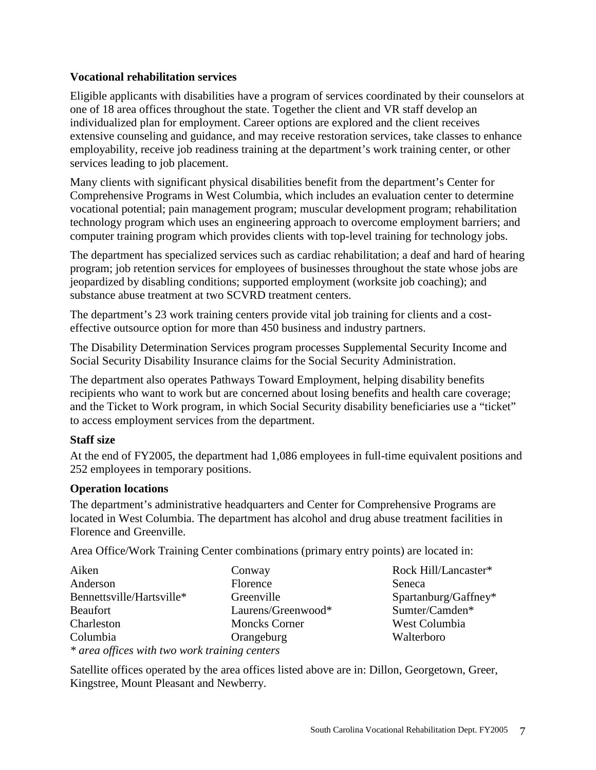### **Vocational rehabilitation services**

Eligible applicants with disabilities have a program of services coordinated by their counselors at one of 18 area offices throughout the state. Together the client and VR staff develop an individualized plan for employment. Career options are explored and the client receives extensive counseling and guidance, and may receive restoration services, take classes to enhance employability, receive job readiness training at the department's work training center, or other services leading to job placement.

Many clients with significant physical disabilities benefit from the department's Center for Comprehensive Programs in West Columbia, which includes an evaluation center to determine vocational potential; pain management program; muscular development program; rehabilitation technology program which uses an engineering approach to overcome employment barriers; and computer training program which provides clients with top-level training for technology jobs.

The department has specialized services such as cardiac rehabilitation; a deaf and hard of hearing program; job retention services for employees of businesses throughout the state whose jobs are jeopardized by disabling conditions; supported employment (worksite job coaching); and substance abuse treatment at two SCVRD treatment centers.

The department's 23 work training centers provide vital job training for clients and a costeffective outsource option for more than 450 business and industry partners.

The Disability Determination Services program processes Supplemental Security Income and Social Security Disability Insurance claims for the Social Security Administration.

The department also operates Pathways Toward Employment, helping disability benefits recipients who want to work but are concerned about losing benefits and health care coverage; and the Ticket to Work program, in which Social Security disability beneficiaries use a "ticket" to access employment services from the department.

#### **Staff size**

At the end of FY2005, the department had 1,086 employees in full-time equivalent positions and 252 employees in temporary positions.

# **Operation locations**

The department's administrative headquarters and Center for Comprehensive Programs are located in West Columbia. The department has alcohol and drug abuse treatment facilities in Florence and Greenville.

Area Office/Work Training Center combinations (primary entry points) are located in:

| Aiken                                         | Conway               | Rock Hill/Lancaster* |
|-----------------------------------------------|----------------------|----------------------|
| Anderson                                      | Florence             | Seneca               |
| Bennettsville/Hartsville*                     | Greenville           | Spartanburg/Gaffney* |
| Beaufort                                      | Laurens/Greenwood*   | Sumter/Camden*       |
| Charleston                                    | <b>Moncks Corner</b> | West Columbia        |
| Columbia                                      | Orangeburg           | Walterboro           |
| * area offices with two work training centers |                      |                      |

Satellite offices operated by the area offices listed above are in: Dillon, Georgetown, Greer, Kingstree, Mount Pleasant and Newberry.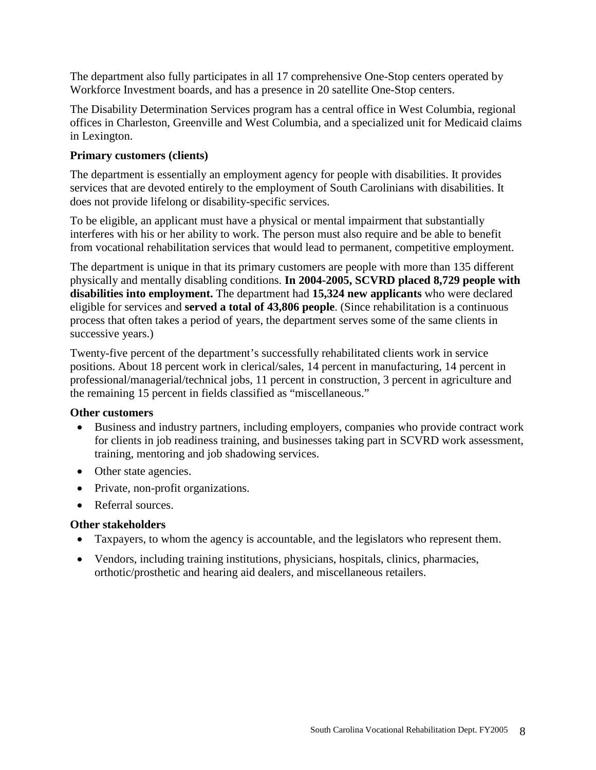The department also fully participates in all 17 comprehensive One-Stop centers operated by Workforce Investment boards, and has a presence in 20 satellite One-Stop centers.

The Disability Determination Services program has a central office in West Columbia, regional offices in Charleston, Greenville and West Columbia, and a specialized unit for Medicaid claims in Lexington.

# **Primary customers (clients)**

The department is essentially an employment agency for people with disabilities. It provides services that are devoted entirely to the employment of South Carolinians with disabilities. It does not provide lifelong or disability-specific services.

To be eligible, an applicant must have a physical or mental impairment that substantially interferes with his or her ability to work. The person must also require and be able to benefit from vocational rehabilitation services that would lead to permanent, competitive employment.

The department is unique in that its primary customers are people with more than 135 different physically and mentally disabling conditions. **In 2004-2005, SCVRD placed 8,729 people with disabilities into employment.** The department had **15,324 new applicants** who were declared eligible for services and **served a total of 43,806 people**. (Since rehabilitation is a continuous process that often takes a period of years, the department serves some of the same clients in successive years.)

Twenty-five percent of the department's successfully rehabilitated clients work in service positions. About 18 percent work in clerical/sales, 14 percent in manufacturing, 14 percent in professional/managerial/technical jobs, 11 percent in construction, 3 percent in agriculture and the remaining 15 percent in fields classified as "miscellaneous."

# **Other customers**

- Business and industry partners, including employers, companies who provide contract work for clients in job readiness training, and businesses taking part in SCVRD work assessment, training, mentoring and job shadowing services.
- Other state agencies.
- Private, non-profit organizations.
- Referral sources.

# **Other stakeholders**

- Taxpayers, to whom the agency is accountable, and the legislators who represent them.
- Vendors, including training institutions, physicians, hospitals, clinics, pharmacies, orthotic/prosthetic and hearing aid dealers, and miscellaneous retailers.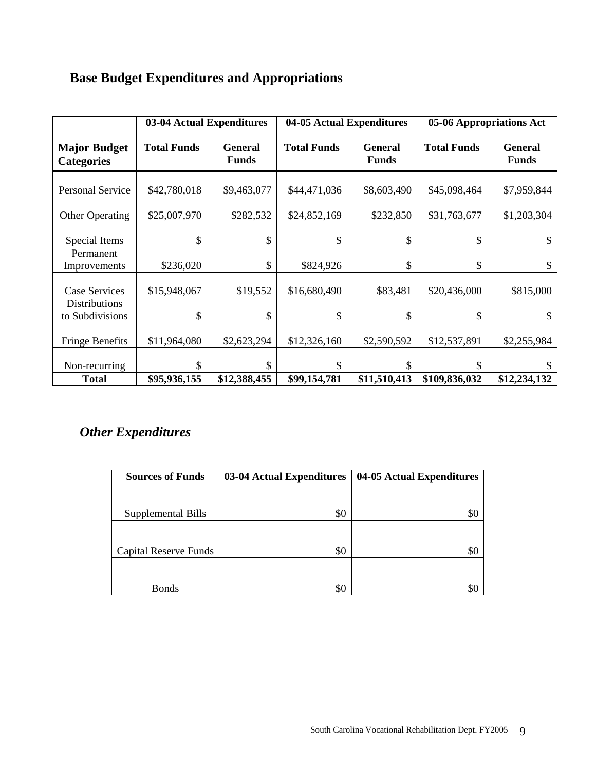|  |  |  | <b>Base Budget Expenditures and Appropriations</b> |
|--|--|--|----------------------------------------------------|
|  |  |  |                                                    |

|                                          |                    | 03-04 Actual Expenditures      |                    | 04-05 Actual Expenditures      |                    | 05-06 Appropriations Act       |
|------------------------------------------|--------------------|--------------------------------|--------------------|--------------------------------|--------------------|--------------------------------|
| <b>Major Budget</b><br><b>Categories</b> | <b>Total Funds</b> | <b>General</b><br><b>Funds</b> | <b>Total Funds</b> | <b>General</b><br><b>Funds</b> | <b>Total Funds</b> | <b>General</b><br><b>Funds</b> |
| <b>Personal Service</b>                  | \$42,780,018       | \$9,463,077                    | \$44,471,036       | \$8,603,490                    | \$45,098,464       | \$7,959,844                    |
| <b>Other Operating</b>                   | \$25,007,970       | \$282,532                      | \$24,852,169       | \$232,850                      | \$31,763,677       | \$1,203,304                    |
| Special Items                            | \$                 | \$                             | \$                 | \$                             | \$                 | \$                             |
| Permanent<br>Improvements                | \$236,020          | \$                             | \$824,926          | \$                             | \$                 | \$                             |
| <b>Case Services</b>                     | \$15,948,067       | \$19,552                       | \$16,680,490       | \$83,481                       | \$20,436,000       | \$815,000                      |
| <b>Distributions</b><br>to Subdivisions  | \$                 | \$                             | \$                 | \$                             | \$                 | \$                             |
| <b>Fringe Benefits</b>                   | \$11,964,080       | \$2,623,294                    | \$12,326,160       | \$2,590,592                    | \$12,537,891       | \$2,255,984                    |
| Non-recurring                            | \$                 | \$                             | \$                 |                                |                    |                                |
| <b>Total</b>                             | \$95,936,155       | \$12,388,455                   | \$99,154,781       | \$11,510,413                   | \$109,836,032      | \$12,234,132                   |

# *Other Expenditures*

| <b>Sources of Funds</b>      | 03-04 Actual Expenditures | 04-05 Actual Expenditures |
|------------------------------|---------------------------|---------------------------|
|                              |                           |                           |
|                              |                           |                           |
| Supplemental Bills           | \$0                       | Ж,                        |
|                              |                           |                           |
|                              |                           |                           |
| <b>Capital Reserve Funds</b> | \$0                       | Ж                         |
|                              |                           |                           |
|                              |                           |                           |
| <b>Bonds</b>                 | \$0                       |                           |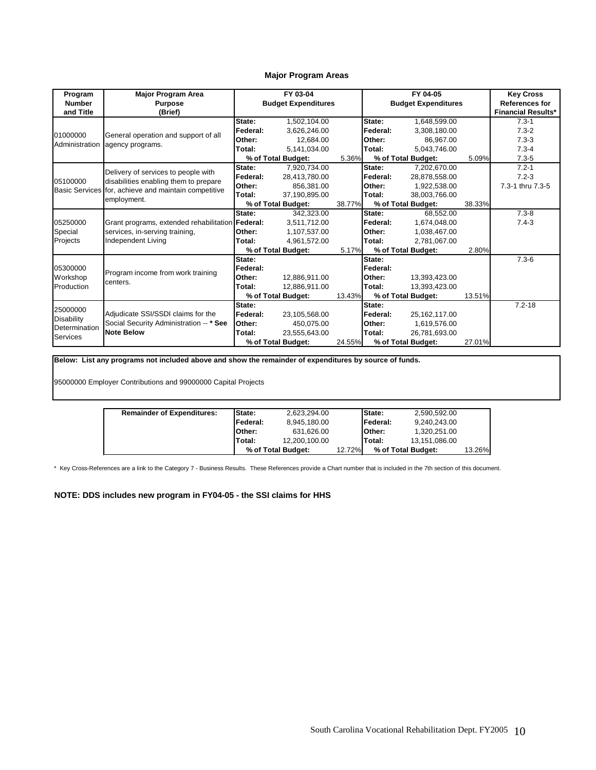#### **Major Program Areas**

| Program                    | <b>Major Program Area</b>                            |                  | FY 03-04                   |        |                  | FY 04-05                   |        | <b>Key Cross</b>                                   |
|----------------------------|------------------------------------------------------|------------------|----------------------------|--------|------------------|----------------------------|--------|----------------------------------------------------|
| <b>Number</b><br>and Title | <b>Purpose</b><br>(Brief)                            |                  | <b>Budget Expenditures</b> |        |                  | <b>Budget Expenditures</b> |        | <b>References for</b><br><b>Financial Results*</b> |
|                            |                                                      | State:           | 1,502,104.00               |        | State:           | 1,648,599.00               |        | $7.3 - 1$                                          |
|                            |                                                      | lFederal:        | 3,626,246.00               |        | Federal:         | 3,308,180.00               |        | $7.3 - 2$                                          |
| 01000000                   | General operation and support of all                 | Other:           | 12.684.00                  |        | Other:           | 86,967.00                  |        | $7.3 - 3$                                          |
| Administration             | agency programs.                                     | Total:           | 5.141.034.00               |        | Total:           | 5,043,746.00               |        | $7.3 - 4$                                          |
|                            |                                                      |                  | % of Total Budget:         | 5.36%  |                  | % of Total Budget:         | 5.09%  | $7.3 - 5$                                          |
|                            | Delivery of services to people with                  | State:           | 7,920,734.00               |        | State:           | 7,202,670.00               |        | $7.2 - 1$                                          |
| 05100000                   | disabilities enabling them to prepare                | Federal:         | 28.413.780.00              |        | Federal:         | 28,878,558.00              |        | $7.2 - 3$                                          |
|                            | Basic Services for, achieve and maintain competitive | Other:           | 856.381.00                 |        | Other:           | 1,922,538.00               |        | 7.3-1 thru 7.3-5                                   |
|                            | employment.                                          | lTotal:          | 37.190.895.00              |        | Total:           | 38,003,766.00              |        |                                                    |
|                            |                                                      |                  | % of Total Budget:         | 38.77% |                  | % of Total Budget:         | 38.33% |                                                    |
|                            |                                                      | State:           | 342.323.00                 |        | State:           | 68.552.00                  |        | $7.3 - 8$                                          |
| 05250000                   | Grant programs, extended rehabilitation Federal:     |                  | 3,511,712.00               |        | Federal:         | 1,674,048.00               |        | $7.4 - 3$                                          |
| Special                    | services, in-serving training,                       | Other:           | 1.107.537.00               |        | Other:           | 1,038,467.00               |        |                                                    |
| Projects                   | Independent Living                                   | Total:           | 4.961.572.00               |        | Total:           | 2,781,067.00               |        |                                                    |
|                            |                                                      |                  | % of Total Budget:         | 5.17%  |                  | % of Total Budget:         | 2.80%  |                                                    |
|                            |                                                      | State:           |                            |        | State:           |                            |        | $7.3 - 6$                                          |
| 05300000                   | Program income from work training                    | Federal:         |                            |        | Federal:         |                            |        |                                                    |
| Workshop                   | centers.                                             | Other:           | 12.886.911.00              |        | Other:           | 13,393,423.00              |        |                                                    |
| Production                 |                                                      | Total:           | 12.886.911.00              |        | Total:           | 13.393.423.00              |        |                                                    |
|                            |                                                      |                  | % of Total Budget:         | 13.43% |                  | % of Total Budget:         | 13.51% |                                                    |
| 25000000                   |                                                      | State:           |                            |        | State:           |                            |        | $7.2 - 18$                                         |
| <b>Disability</b>          | Adjudicate SSI/SSDI claims for the                   | <b>IFederal:</b> | 23,105,568.00              |        | <b>IFederal:</b> | 25,162,117.00              |        |                                                    |
| Determination              | Social Security Administration -- * See              | lOther:          | 450.075.00                 |        | Other:           | 1,619,576.00               |        |                                                    |
| Services                   | <b>Note Below</b>                                    | Total:           | 23,555,643.00              |        | Total:           | 26,781,693.00              |        |                                                    |
|                            |                                                      |                  | % of Total Budget:         | 24.55% |                  | % of Total Budget:         | 27.01% |                                                    |

**Below: List any programs not included above and show the remainder of expenditures by source of funds.**

95000000 Employer Contributions and 99000000 Capital Projects

| <b>Remainder of Expenditures:</b> | <b>IState:</b>   | 2.623.294.00       |        | <b>State:</b>    | 2.590.592.00       |        |
|-----------------------------------|------------------|--------------------|--------|------------------|--------------------|--------|
|                                   | <b>IFederal:</b> | 8.945.180.00       |        | <b>IFederal:</b> | 9.240.243.00       |        |
|                                   | <b>IOther:</b>   | 631.626.00         |        | <b>Other:</b>    | 1.320.251.00       |        |
|                                   | Total:           | 12.200.100.00      |        | <b>Total:</b>    | 13.151.086.00      |        |
|                                   |                  | % of Total Budget: | 12.72% |                  | % of Total Budget: | 13.26% |

\* Key Cross-References are a link to the Category 7 - Business Results. These References provide a Chart number that is included in the 7th section of this document.

**NOTE: DDS includes new program in FY04-05 - the SSI claims for HHS**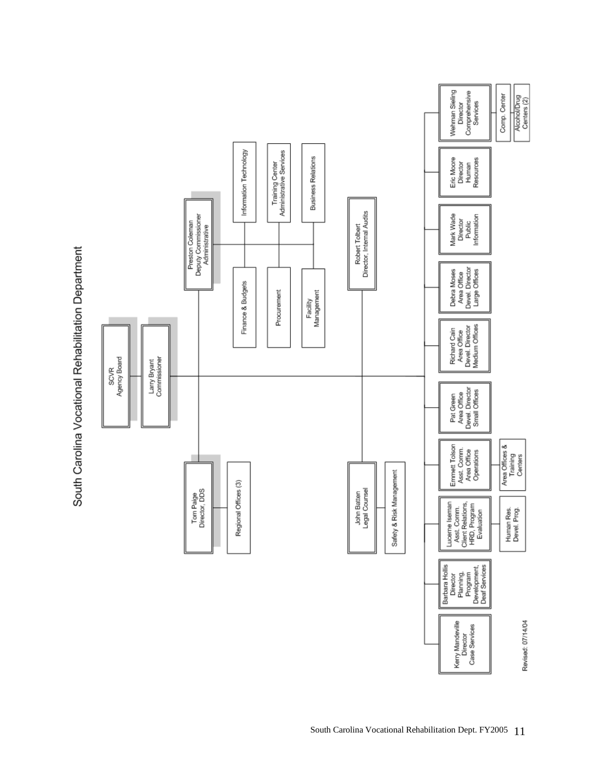

South Carolina Vocational Rehabilitation Department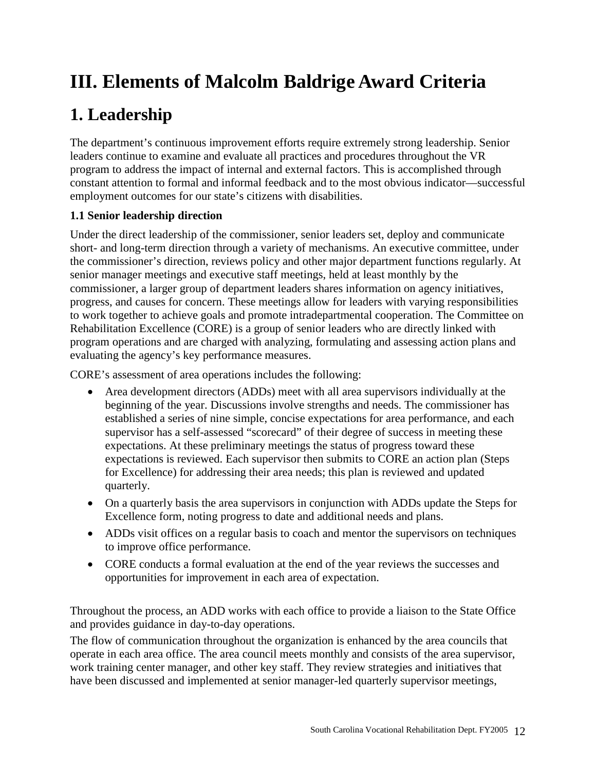# **III. Elements of Malcolm Baldrige Award Criteria**

# **1. Leadership**

The department's continuous improvement efforts require extremely strong leadership. Senior leaders continue to examine and evaluate all practices and procedures throughout the VR program to address the impact of internal and external factors. This is accomplished through constant attention to formal and informal feedback and to the most obvious indicator—successful employment outcomes for our state's citizens with disabilities.

# **1.1 Senior leadership direction**

Under the direct leadership of the commissioner, senior leaders set, deploy and communicate short- and long-term direction through a variety of mechanisms. An executive committee, under the commissioner's direction, reviews policy and other major department functions regularly. At senior manager meetings and executive staff meetings, held at least monthly by the commissioner, a larger group of department leaders shares information on agency initiatives, progress, and causes for concern. These meetings allow for leaders with varying responsibilities to work together to achieve goals and promote intradepartmental cooperation. The Committee on Rehabilitation Excellence (CORE) is a group of senior leaders who are directly linked with program operations and are charged with analyzing, formulating and assessing action plans and evaluating the agency's key performance measures.

CORE's assessment of area operations includes the following:

- Area development directors (ADDs) meet with all area supervisors individually at the beginning of the year. Discussions involve strengths and needs. The commissioner has established a series of nine simple, concise expectations for area performance, and each supervisor has a self-assessed "scorecard" of their degree of success in meeting these expectations. At these preliminary meetings the status of progress toward these expectations is reviewed. Each supervisor then submits to CORE an action plan (Steps for Excellence) for addressing their area needs; this plan is reviewed and updated quarterly.
- On a quarterly basis the area supervisors in conjunction with ADDs update the Steps for Excellence form, noting progress to date and additional needs and plans.
- ADDs visit offices on a regular basis to coach and mentor the supervisors on techniques to improve office performance.
- CORE conducts a formal evaluation at the end of the year reviews the successes and opportunities for improvement in each area of expectation.

Throughout the process, an ADD works with each office to provide a liaison to the State Office and provides guidance in day-to-day operations.

The flow of communication throughout the organization is enhanced by the area councils that operate in each area office. The area council meets monthly and consists of the area supervisor, work training center manager, and other key staff. They review strategies and initiatives that have been discussed and implemented at senior manager-led quarterly supervisor meetings,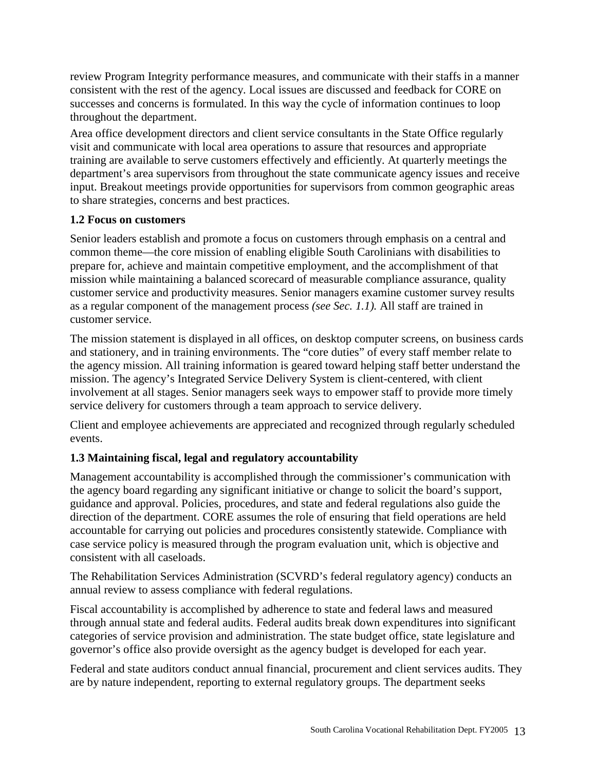review Program Integrity performance measures, and communicate with their staffs in a manner consistent with the rest of the agency. Local issues are discussed and feedback for CORE on successes and concerns is formulated. In this way the cycle of information continues to loop throughout the department.

Area office development directors and client service consultants in the State Office regularly visit and communicate with local area operations to assure that resources and appropriate training are available to serve customers effectively and efficiently. At quarterly meetings the department's area supervisors from throughout the state communicate agency issues and receive input. Breakout meetings provide opportunities for supervisors from common geographic areas to share strategies, concerns and best practices.

# **1.2 Focus on customers**

Senior leaders establish and promote a focus on customers through emphasis on a central and common theme—the core mission of enabling eligible South Carolinians with disabilities to prepare for, achieve and maintain competitive employment, and the accomplishment of that mission while maintaining a balanced scorecard of measurable compliance assurance, quality customer service and productivity measures. Senior managers examine customer survey results as a regular component of the management process *(see Sec. 1.1).* All staff are trained in customer service.

The mission statement is displayed in all offices, on desktop computer screens, on business cards and stationery, and in training environments. The "core duties" of every staff member relate to the agency mission. All training information is geared toward helping staff better understand the mission. The agency's Integrated Service Delivery System is client-centered, with client involvement at all stages. Senior managers seek ways to empower staff to provide more timely service delivery for customers through a team approach to service delivery.

Client and employee achievements are appreciated and recognized through regularly scheduled events.

# **1.3 Maintaining fiscal, legal and regulatory accountability**

Management accountability is accomplished through the commissioner's communication with the agency board regarding any significant initiative or change to solicit the board's support, guidance and approval. Policies, procedures, and state and federal regulations also guide the direction of the department. CORE assumes the role of ensuring that field operations are held accountable for carrying out policies and procedures consistently statewide. Compliance with case service policy is measured through the program evaluation unit, which is objective and consistent with all caseloads.

The Rehabilitation Services Administration (SCVRD's federal regulatory agency) conducts an annual review to assess compliance with federal regulations.

Fiscal accountability is accomplished by adherence to state and federal laws and measured through annual state and federal audits. Federal audits break down expenditures into significant categories of service provision and administration. The state budget office, state legislature and governor's office also provide oversight as the agency budget is developed for each year.

Federal and state auditors conduct annual financial, procurement and client services audits. They are by nature independent, reporting to external regulatory groups. The department seeks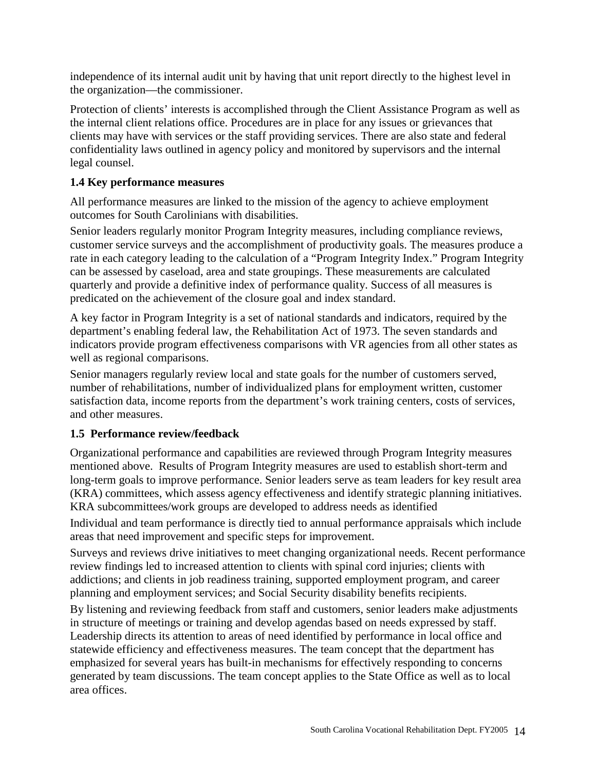independence of its internal audit unit by having that unit report directly to the highest level in the organization—the commissioner.

Protection of clients' interests is accomplished through the Client Assistance Program as well as the internal client relations office. Procedures are in place for any issues or grievances that clients may have with services or the staff providing services. There are also state and federal confidentiality laws outlined in agency policy and monitored by supervisors and the internal legal counsel.

# **1.4 Key performance measures**

All performance measures are linked to the mission of the agency to achieve employment outcomes for South Carolinians with disabilities.

Senior leaders regularly monitor Program Integrity measures, including compliance reviews, customer service surveys and the accomplishment of productivity goals. The measures produce a rate in each category leading to the calculation of a "Program Integrity Index." Program Integrity can be assessed by caseload, area and state groupings. These measurements are calculated quarterly and provide a definitive index of performance quality. Success of all measures is predicated on the achievement of the closure goal and index standard.

A key factor in Program Integrity is a set of national standards and indicators, required by the department's enabling federal law, the Rehabilitation Act of 1973. The seven standards and indicators provide program effectiveness comparisons with VR agencies from all other states as well as regional comparisons.

Senior managers regularly review local and state goals for the number of customers served, number of rehabilitations, number of individualized plans for employment written, customer satisfaction data, income reports from the department's work training centers, costs of services, and other measures.

# **1.5 Performance review/feedback**

Organizational performance and capabilities are reviewed through Program Integrity measures mentioned above. Results of Program Integrity measures are used to establish short-term and long-term goals to improve performance. Senior leaders serve as team leaders for key result area (KRA) committees, which assess agency effectiveness and identify strategic planning initiatives. KRA subcommittees/work groups are developed to address needs as identified

Individual and team performance is directly tied to annual performance appraisals which include areas that need improvement and specific steps for improvement.

Surveys and reviews drive initiatives to meet changing organizational needs. Recent performance review findings led to increased attention to clients with spinal cord injuries; clients with addictions; and clients in job readiness training, supported employment program, and career planning and employment services; and Social Security disability benefits recipients.

By listening and reviewing feedback from staff and customers, senior leaders make adjustments in structure of meetings or training and develop agendas based on needs expressed by staff. Leadership directs its attention to areas of need identified by performance in local office and statewide efficiency and effectiveness measures. The team concept that the department has emphasized for several years has built-in mechanisms for effectively responding to concerns generated by team discussions. The team concept applies to the State Office as well as to local area offices.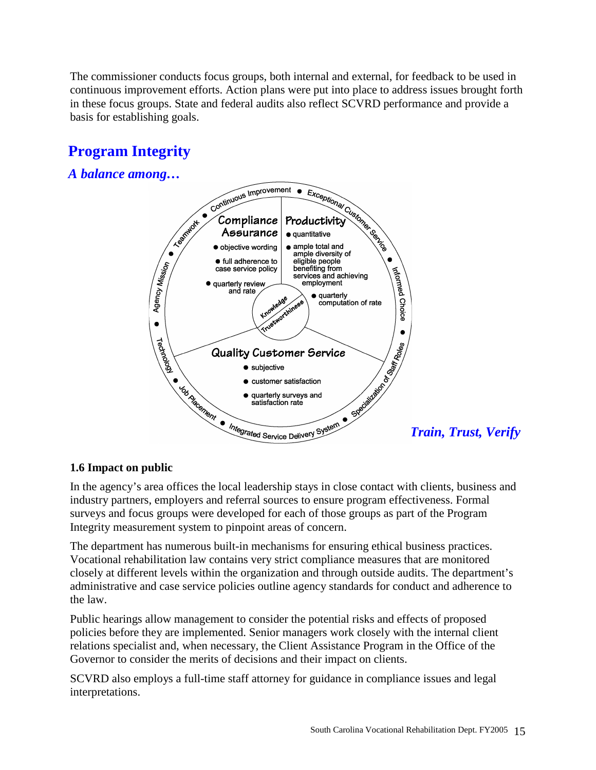The commissioner conducts focus groups, both internal and external, for feedback to be used in continuous improvement efforts. Action plans were put into place to address issues brought forth in these focus groups. State and federal audits also reflect SCVRD performance and provide a basis for establishing goals.

# **Program Integrity**

**Fig. 1.1** *A balance among…*



In the agency's area offices the local leadership stays in close contact with clients, business and industry partners, employers and referral sources to ensure program effectiveness. Formal surveys and focus groups were developed for each of those groups as part of the Program Integrity measurement system to pinpoint areas of concern.

The department has numerous built-in mechanisms for ensuring ethical business practices. Vocational rehabilitation law contains very strict compliance measures that are monitored closely at different levels within the organization and through outside audits. The department's administrative and case service policies outline agency standards for conduct and adherence to the law.

Public hearings allow management to consider the potential risks and effects of proposed policies before they are implemented. Senior managers work closely with the internal client relations specialist and, when necessary, the Client Assistance Program in the Office of the Governor to consider the merits of decisions and their impact on clients.

SCVRD also employs a full-time staff attorney for guidance in compliance issues and legal interpretations.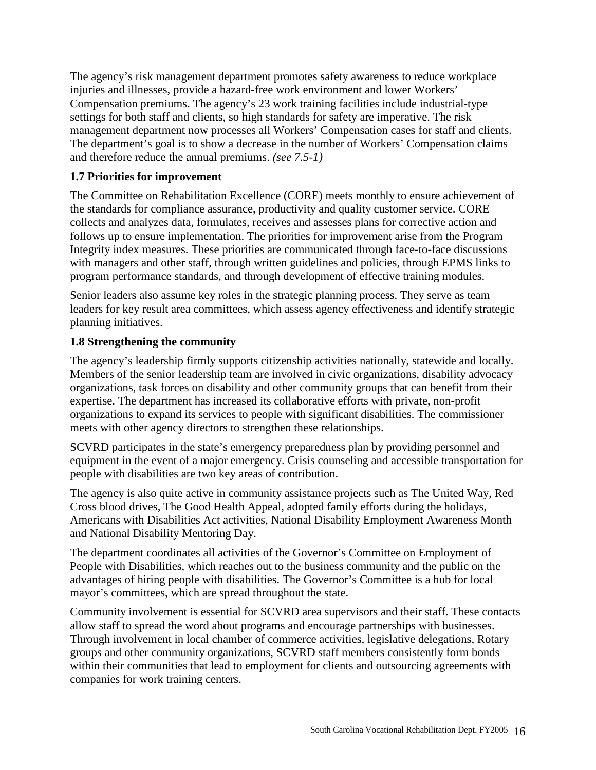The agency's risk management department promotes safety awareness to reduce workplace injuries and illnesses, provide a hazard-free work environment and lower Workers' Compensation premiums. The agency's 23 work training facilities include industrial-type settings for both staff and clients, so high standards for safety are imperative. The risk management department now processes all Workers' Compensation cases for staff and clients. The department's goal is to show a decrease in the number of Workers' Compensation claims and therefore reduce the annual premiums. *(see 7.5-1)*

# **1.7 Priorities for improvement**

The Committee on Rehabilitation Excellence (CORE) meets monthly to ensure achievement of the standards for compliance assurance, productivity and quality customer service. CORE collects and analyzes data, formulates, receives and assesses plans for corrective action and follows up to ensure implementation. The priorities for improvement arise from the Program Integrity index measures. These priorities are communicated through face-to-face discussions with managers and other staff, through written guidelines and policies, through EPMS links to program performance standards, and through development of effective training modules.

Senior leaders also assume key roles in the strategic planning process. They serve as team leaders for key result area committees, which assess agency effectiveness and identify strategic planning initiatives.

# **1.8 Strengthening the community**

The agency's leadership firmly supports citizenship activities nationally, statewide and locally. Members of the senior leadership team are involved in civic organizations, disability advocacy organizations, task forces on disability and other community groups that can benefit from their expertise. The department has increased its collaborative efforts with private, non-profit organizations to expand its services to people with significant disabilities. The commissioner meets with other agency directors to strengthen these relationships.

SCVRD participates in the state's emergency preparedness plan by providing personnel and equipment in the event of a major emergency. Crisis counseling and accessible transportation for people with disabilities are two key areas of contribution.

The agency is also quite active in community assistance projects such as The United Way, Red Cross blood drives, The Good Health Appeal, adopted family efforts during the holidays, Americans with Disabilities Act activities, National Disability Employment Awareness Month and National Disability Mentoring Day.

The department coordinates all activities of the Governor's Committee on Employment of People with Disabilities, which reaches out to the business community and the public on the advantages of hiring people with disabilities. The Governor's Committee is a hub for local mayor's committees, which are spread throughout the state.

Community involvement is essential for SCVRD area supervisors and their staff. These contacts allow staff to spread the word about programs and encourage partnerships with businesses. Through involvement in local chamber of commerce activities, legislative delegations, Rotary groups and other community organizations, SCVRD staff members consistently form bonds within their communities that lead to employment for clients and outsourcing agreements with companies for work training centers.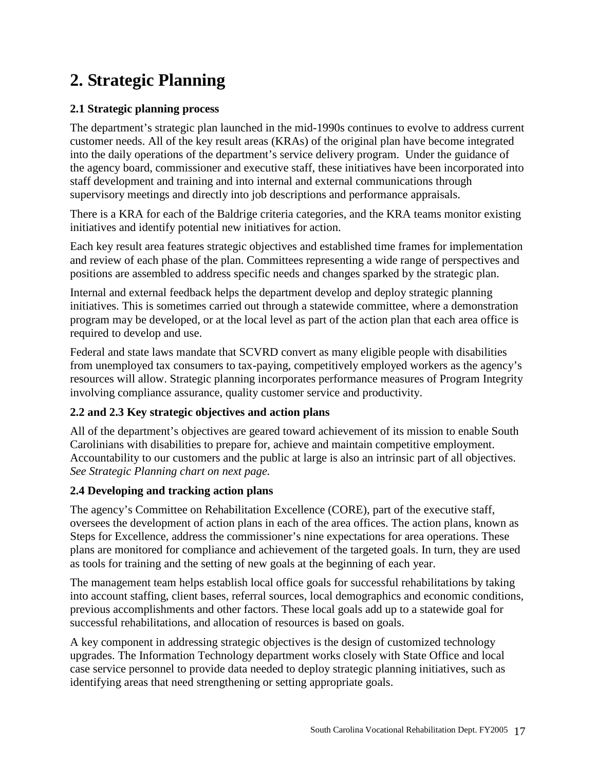# **2. Strategic Planning**

# **2.1 Strategic planning process**

The department's strategic plan launched in the mid-1990s continues to evolve to address current customer needs. All of the key result areas (KRAs) of the original plan have become integrated into the daily operations of the department's service delivery program. Under the guidance of the agency board, commissioner and executive staff, these initiatives have been incorporated into staff development and training and into internal and external communications through supervisory meetings and directly into job descriptions and performance appraisals.

There is a KRA for each of the Baldrige criteria categories, and the KRA teams monitor existing initiatives and identify potential new initiatives for action.

Each key result area features strategic objectives and established time frames for implementation and review of each phase of the plan. Committees representing a wide range of perspectives and positions are assembled to address specific needs and changes sparked by the strategic plan.

Internal and external feedback helps the department develop and deploy strategic planning initiatives. This is sometimes carried out through a statewide committee, where a demonstration program may be developed, or at the local level as part of the action plan that each area office is required to develop and use.

Federal and state laws mandate that SCVRD convert as many eligible people with disabilities from unemployed tax consumers to tax-paying, competitively employed workers as the agency's resources will allow. Strategic planning incorporates performance measures of Program Integrity involving compliance assurance, quality customer service and productivity.

# **2.2 and 2.3 Key strategic objectives and action plans**

All of the department's objectives are geared toward achievement of its mission to enable South Carolinians with disabilities to prepare for, achieve and maintain competitive employment. Accountability to our customers and the public at large is also an intrinsic part of all objectives. *See Strategic Planning chart on next page.*

# **2.4 Developing and tracking action plans**

The agency's Committee on Rehabilitation Excellence (CORE), part of the executive staff, oversees the development of action plans in each of the area offices. The action plans, known as Steps for Excellence, address the commissioner's nine expectations for area operations. These plans are monitored for compliance and achievement of the targeted goals. In turn, they are used as tools for training and the setting of new goals at the beginning of each year.

The management team helps establish local office goals for successful rehabilitations by taking into account staffing, client bases, referral sources, local demographics and economic conditions, previous accomplishments and other factors. These local goals add up to a statewide goal for successful rehabilitations, and allocation of resources is based on goals.

A key component in addressing strategic objectives is the design of customized technology upgrades. The Information Technology department works closely with State Office and local case service personnel to provide data needed to deploy strategic planning initiatives, such as identifying areas that need strengthening or setting appropriate goals.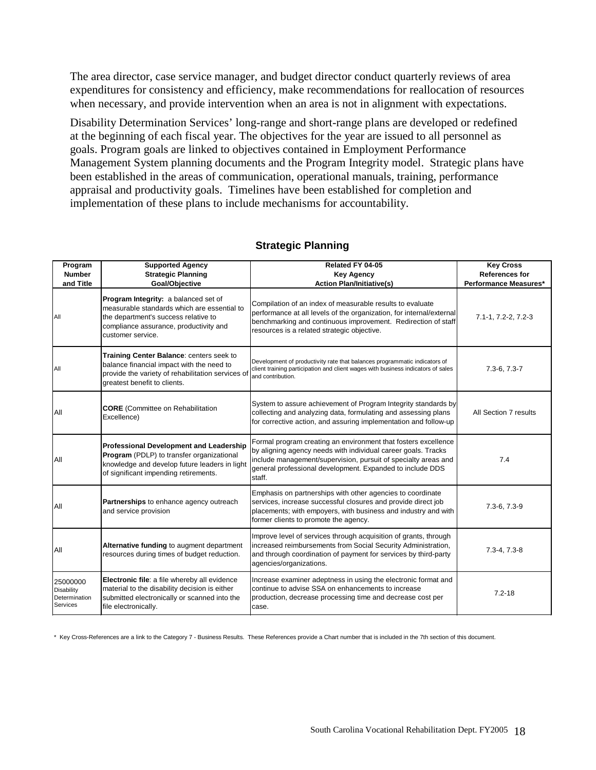The area director, case service manager, and budget director conduct quarterly reviews of area expenditures for consistency and efficiency, make recommendations for reallocation of resources when necessary, and provide intervention when an area is not in alignment with expectations.

Disability Determination Services' long-range and short-range plans are developed or redefined at the beginning of each fiscal year. The objectives for the year are issued to all personnel as goals. Program goals are linked to objectives contained in Employment Performance Management System planning documents and the Program Integrity model. Strategic plans have been established in the areas of communication, operational manuals, training, performance appraisal and productivity goals. Timelines have been established for completion and implementation of these plans to include mechanisms for accountability.

| Program<br><b>Number</b><br>and Title                      | <b>Supported Agency</b><br><b>Strategic Planning</b><br>Goal/Objective                                                                                                                     | Related FY 04-05<br><b>Key Agency</b><br><b>Action Plan/Initiative(s)</b>                                                                                                                                                                                                | <b>Key Cross</b><br><b>References for</b><br>Performance Measures* |
|------------------------------------------------------------|--------------------------------------------------------------------------------------------------------------------------------------------------------------------------------------------|--------------------------------------------------------------------------------------------------------------------------------------------------------------------------------------------------------------------------------------------------------------------------|--------------------------------------------------------------------|
| All                                                        | Program Integrity: a balanced set of<br>measurable standards which are essential to<br>the department's success relative to<br>compliance assurance, productivity and<br>customer service. | Compilation of an index of measurable results to evaluate<br>performance at all levels of the organization, for internal/external<br>benchmarking and continuous improvement. Redirection of staff<br>resources is a related strategic objective.                        | 7.1-1, 7.2-2, 7.2-3                                                |
| All                                                        | Training Center Balance: centers seek to<br>balance financial impact with the need to<br>provide the variety of rehabilitation services of<br>greatest benefit to clients.                 | Development of productivity rate that balances programmatic indicators of<br>client training participation and client wages with business indicators of sales<br>and contribution.                                                                                       | $7.3 - 6, 7.3 - 7$                                                 |
| All                                                        | <b>CORE</b> (Committee on Rehabilitation<br>Excellence)                                                                                                                                    | System to assure achievement of Program Integrity standards by<br>collecting and analyzing data, formulating and assessing plans<br>for corrective action, and assuring implementation and follow-up                                                                     | All Section 7 results                                              |
| All                                                        | <b>Professional Development and Leadership</b><br>Program (PDLP) to transfer organizational<br>knowledge and develop future leaders in light<br>of significant impending retirements.      | Formal program creating an environment that fosters excellence<br>by aligning agency needs with individual career goals. Tracks<br>include management/supervision, pursuit of specialty areas and<br>general professional development. Expanded to include DDS<br>staff. | 7.4                                                                |
| All                                                        | Partnerships to enhance agency outreach<br>and service provision                                                                                                                           | Emphasis on partnerships with other agencies to coordinate<br>services, increase successful closures and provide direct job<br>placements; with empoyers, with business and industry and with<br>former clients to promote the agency.                                   | 7.3-6, 7.3-9                                                       |
| All                                                        | Alternative funding to augment department<br>resources during times of budget reduction.                                                                                                   | Improve level of services through acquisition of grants, through<br>increased reimbursements from Social Security Administration,<br>and through coordination of payment for services by third-party<br>agencies/organizations.                                          | $7.3 - 4, 7.3 - 8$                                                 |
| 25000000<br><b>Disability</b><br>Determination<br>Services | Electronic file: a file whereby all evidence<br>material to the disability decision is either<br>submitted electronically or scanned into the<br>file electronically.                      | Increase examiner adeptness in using the electronic format and<br>continue to advise SSA on enhancements to increase<br>production, decrease processing time and decrease cost per<br>case.                                                                              | $7.2 - 18$                                                         |

#### **Strategic Planning**

\* Key Cross-References are a link to the Category 7 - Business Results. These References provide a Chart number that is included in the 7th section of this document.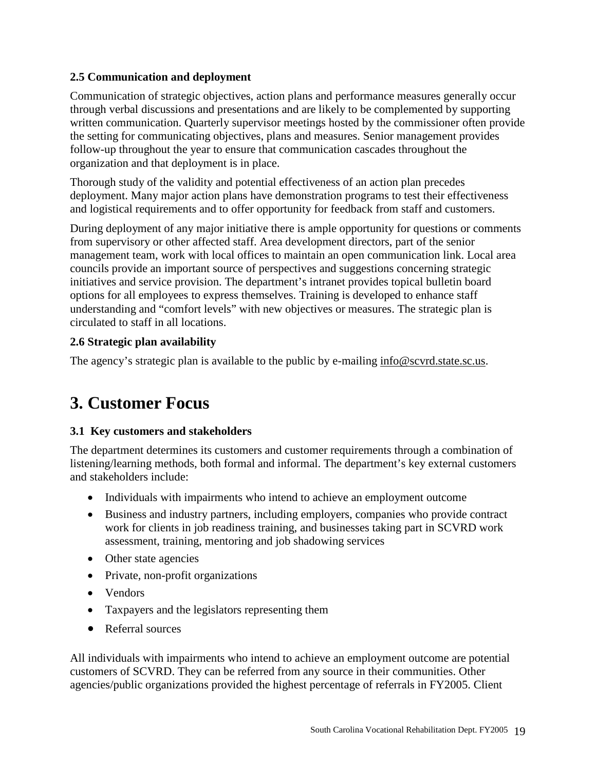# **2.5 Communication and deployment**

Communication of strategic objectives, action plans and performance measures generally occur through verbal discussions and presentations and are likely to be complemented by supporting written communication. Quarterly supervisor meetings hosted by the commissioner often provide the setting for communicating objectives, plans and measures. Senior management provides follow-up throughout the year to ensure that communication cascades throughout the organization and that deployment is in place.

Thorough study of the validity and potential effectiveness of an action plan precedes deployment. Many major action plans have demonstration programs to test their effectiveness and logistical requirements and to offer opportunity for feedback from staff and customers.

During deployment of any major initiative there is ample opportunity for questions or comments from supervisory or other affected staff. Area development directors, part of the senior management team, work with local offices to maintain an open communication link. Local area councils provide an important source of perspectives and suggestions concerning strategic initiatives and service provision. The department's intranet provides topical bulletin board options for all employees to express themselves. Training is developed to enhance staff understanding and "comfort levels" with new objectives or measures. The strategic plan is circulated to staff in all locations.

# **2.6 Strategic plan availability**

The agency's strategic plan is available to the public by e-mailing [info@scvrd.state.sc.us.](mailto:info@scvrd.state.sc.us)

# **3. Customer Focus**

# **3.1 Key customers and stakeholders**

The department determines its customers and customer requirements through a combination of listening/learning methods, both formal and informal. The department's key external customers and stakeholders include:

- Individuals with impairments who intend to achieve an employment outcome
- Business and industry partners, including employers, companies who provide contract work for clients in job readiness training, and businesses taking part in SCVRD work assessment, training, mentoring and job shadowing services
- Other state agencies
- Private, non-profit organizations
- Vendors
- Taxpayers and the legislators representing them
- Referral sources

All individuals with impairments who intend to achieve an employment outcome are potential customers of SCVRD. They can be referred from any source in their communities. Other agencies/public organizations provided the highest percentage of referrals in FY2005. Client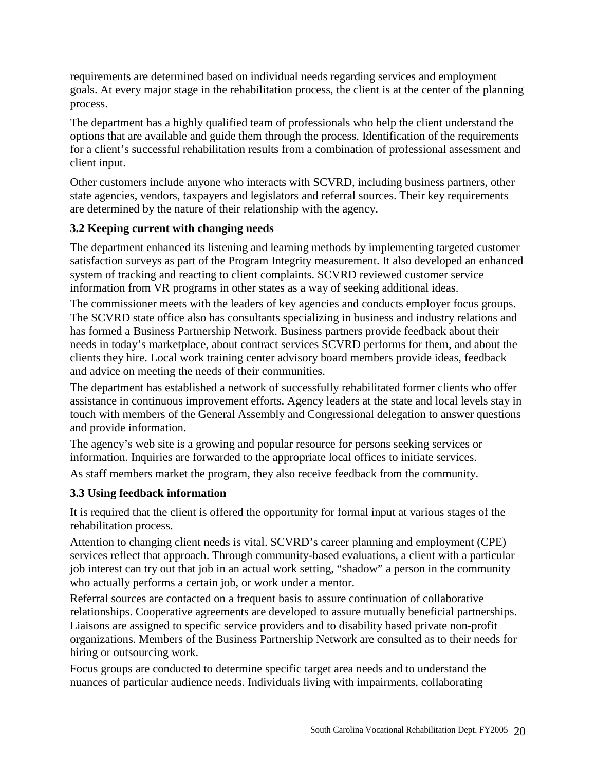requirements are determined based on individual needs regarding services and employment goals. At every major stage in the rehabilitation process, the client is at the center of the planning process.

The department has a highly qualified team of professionals who help the client understand the options that are available and guide them through the process. Identification of the requirements for a client's successful rehabilitation results from a combination of professional assessment and client input.

Other customers include anyone who interacts with SCVRD, including business partners, other state agencies, vendors, taxpayers and legislators and referral sources. Their key requirements are determined by the nature of their relationship with the agency.

# **3.2 Keeping current with changing needs**

The department enhanced its listening and learning methods by implementing targeted customer satisfaction surveys as part of the Program Integrity measurement. It also developed an enhanced system of tracking and reacting to client complaints. SCVRD reviewed customer service information from VR programs in other states as a way of seeking additional ideas.

The commissioner meets with the leaders of key agencies and conducts employer focus groups. The SCVRD state office also has consultants specializing in business and industry relations and has formed a Business Partnership Network. Business partners provide feedback about their needs in today's marketplace, about contract services SCVRD performs for them, and about the clients they hire. Local work training center advisory board members provide ideas, feedback and advice on meeting the needs of their communities.

The department has established a network of successfully rehabilitated former clients who offer assistance in continuous improvement efforts. Agency leaders at the state and local levels stay in touch with members of the General Assembly and Congressional delegation to answer questions and provide information.

The agency's web site is a growing and popular resource for persons seeking services or information. Inquiries are forwarded to the appropriate local offices to initiate services.

As staff members market the program, they also receive feedback from the community.

# **3.3 Using feedback information**

It is required that the client is offered the opportunity for formal input at various stages of the rehabilitation process.

Attention to changing client needs is vital. SCVRD's career planning and employment (CPE) services reflect that approach. Through community-based evaluations, a client with a particular job interest can try out that job in an actual work setting, "shadow" a person in the community who actually performs a certain job, or work under a mentor.

Referral sources are contacted on a frequent basis to assure continuation of collaborative relationships. Cooperative agreements are developed to assure mutually beneficial partnerships. Liaisons are assigned to specific service providers and to disability based private non-profit organizations. Members of the Business Partnership Network are consulted as to their needs for hiring or outsourcing work.

Focus groups are conducted to determine specific target area needs and to understand the nuances of particular audience needs. Individuals living with impairments, collaborating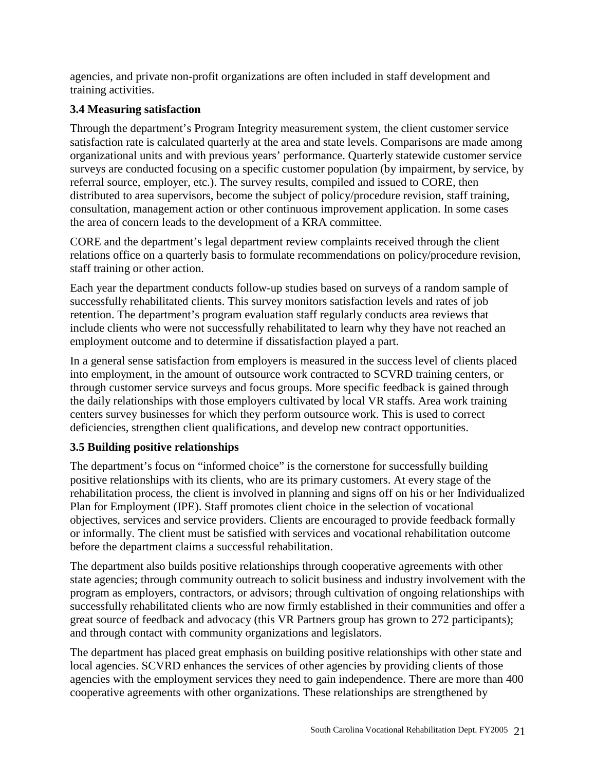agencies, and private non-profit organizations are often included in staff development and training activities.

# **3.4 Measuring satisfaction**

Through the department's Program Integrity measurement system, the client customer service satisfaction rate is calculated quarterly at the area and state levels. Comparisons are made among organizational units and with previous years' performance. Quarterly statewide customer service surveys are conducted focusing on a specific customer population (by impairment, by service, by referral source, employer, etc.). The survey results, compiled and issued to CORE, then distributed to area supervisors, become the subject of policy/procedure revision, staff training, consultation, management action or other continuous improvement application. In some cases the area of concern leads to the development of a KRA committee.

CORE and the department's legal department review complaints received through the client relations office on a quarterly basis to formulate recommendations on policy/procedure revision, staff training or other action.

Each year the department conducts follow-up studies based on surveys of a random sample of successfully rehabilitated clients. This survey monitors satisfaction levels and rates of job retention. The department's program evaluation staff regularly conducts area reviews that include clients who were not successfully rehabilitated to learn why they have not reached an employment outcome and to determine if dissatisfaction played a part.

In a general sense satisfaction from employers is measured in the success level of clients placed into employment, in the amount of outsource work contracted to SCVRD training centers, or through customer service surveys and focus groups. More specific feedback is gained through the daily relationships with those employers cultivated by local VR staffs. Area work training centers survey businesses for which they perform outsource work. This is used to correct deficiencies, strengthen client qualifications, and develop new contract opportunities.

# **3.5 Building positive relationships**

The department's focus on "informed choice" is the cornerstone for successfully building positive relationships with its clients, who are its primary customers. At every stage of the rehabilitation process, the client is involved in planning and signs off on his or her Individualized Plan for Employment (IPE). Staff promotes client choice in the selection of vocational objectives, services and service providers. Clients are encouraged to provide feedback formally or informally. The client must be satisfied with services and vocational rehabilitation outcome before the department claims a successful rehabilitation.

The department also builds positive relationships through cooperative agreements with other state agencies; through community outreach to solicit business and industry involvement with the program as employers, contractors, or advisors; through cultivation of ongoing relationships with successfully rehabilitated clients who are now firmly established in their communities and offer a great source of feedback and advocacy (this VR Partners group has grown to 272 participants); and through contact with community organizations and legislators.

The department has placed great emphasis on building positive relationships with other state and local agencies. SCVRD enhances the services of other agencies by providing clients of those agencies with the employment services they need to gain independence. There are more than 400 cooperative agreements with other organizations. These relationships are strengthened by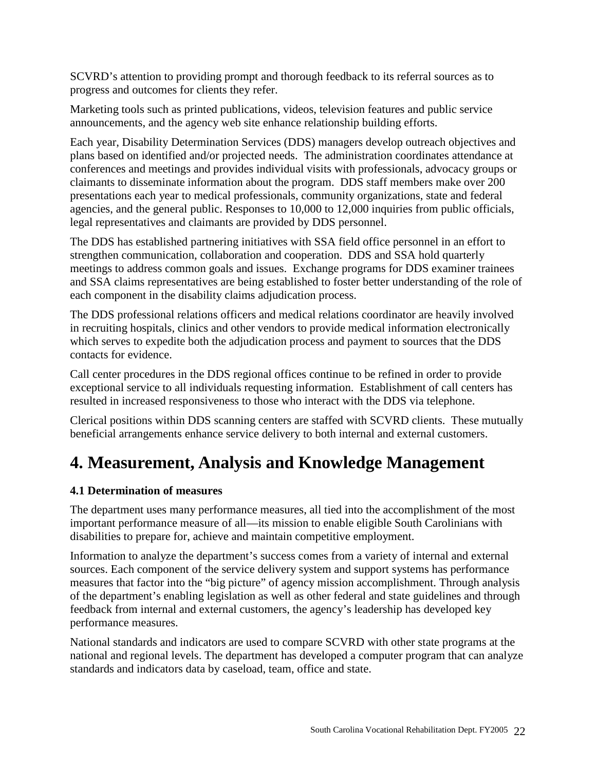SCVRD's attention to providing prompt and thorough feedback to its referral sources as to progress and outcomes for clients they refer.

Marketing tools such as printed publications, videos, television features and public service announcements, and the agency web site enhance relationship building efforts.

Each year, Disability Determination Services (DDS) managers develop outreach objectives and plans based on identified and/or projected needs. The administration coordinates attendance at conferences and meetings and provides individual visits with professionals, advocacy groups or claimants to disseminate information about the program. DDS staff members make over 200 presentations each year to medical professionals, community organizations, state and federal agencies, and the general public. Responses to 10,000 to 12,000 inquiries from public officials, legal representatives and claimants are provided by DDS personnel.

The DDS has established partnering initiatives with SSA field office personnel in an effort to strengthen communication, collaboration and cooperation. DDS and SSA hold quarterly meetings to address common goals and issues. Exchange programs for DDS examiner trainees and SSA claims representatives are being established to foster better understanding of the role of each component in the disability claims adjudication process.

The DDS professional relations officers and medical relations coordinator are heavily involved in recruiting hospitals, clinics and other vendors to provide medical information electronically which serves to expedite both the adjudication process and payment to sources that the DDS contacts for evidence.

Call center procedures in the DDS regional offices continue to be refined in order to provide exceptional service to all individuals requesting information. Establishment of call centers has resulted in increased responsiveness to those who interact with the DDS via telephone.

Clerical positions within DDS scanning centers are staffed with SCVRD clients. These mutually beneficial arrangements enhance service delivery to both internal and external customers.

# **4. Measurement, Analysis and Knowledge Management**

# **4.1 Determination of measures**

The department uses many performance measures, all tied into the accomplishment of the most important performance measure of all—its mission to enable eligible South Carolinians with disabilities to prepare for, achieve and maintain competitive employment.

Information to analyze the department's success comes from a variety of internal and external sources. Each component of the service delivery system and support systems has performance measures that factor into the "big picture" of agency mission accomplishment. Through analysis of the department's enabling legislation as well as other federal and state guidelines and through feedback from internal and external customers, the agency's leadership has developed key performance measures.

National standards and indicators are used to compare SCVRD with other state programs at the national and regional levels. The department has developed a computer program that can analyze standards and indicators data by caseload, team, office and state.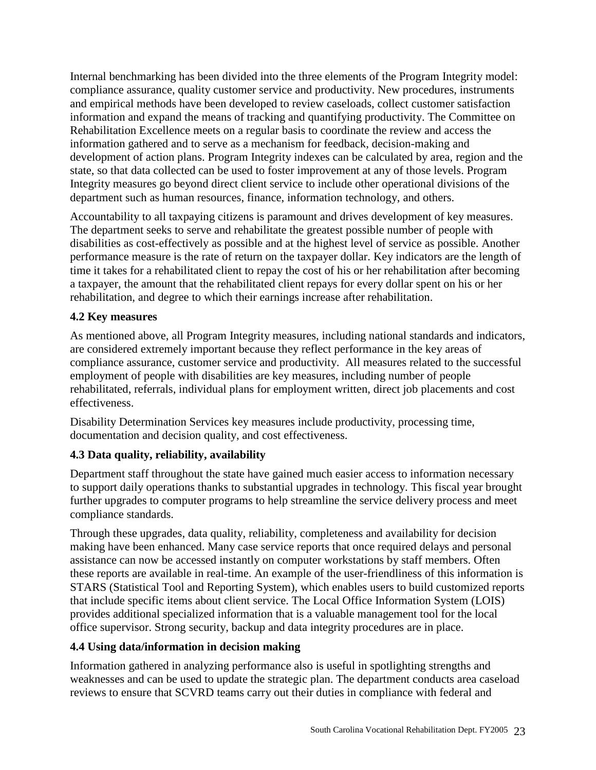Internal benchmarking has been divided into the three elements of the Program Integrity model: compliance assurance, quality customer service and productivity. New procedures, instruments and empirical methods have been developed to review caseloads, collect customer satisfaction information and expand the means of tracking and quantifying productivity. The Committee on Rehabilitation Excellence meets on a regular basis to coordinate the review and access the information gathered and to serve as a mechanism for feedback, decision-making and development of action plans. Program Integrity indexes can be calculated by area, region and the state, so that data collected can be used to foster improvement at any of those levels. Program Integrity measures go beyond direct client service to include other operational divisions of the department such as human resources, finance, information technology, and others.

Accountability to all taxpaying citizens is paramount and drives development of key measures. The department seeks to serve and rehabilitate the greatest possible number of people with disabilities as cost-effectively as possible and at the highest level of service as possible. Another performance measure is the rate of return on the taxpayer dollar. Key indicators are the length of time it takes for a rehabilitated client to repay the cost of his or her rehabilitation after becoming a taxpayer, the amount that the rehabilitated client repays for every dollar spent on his or her rehabilitation, and degree to which their earnings increase after rehabilitation.

### **4.2 Key measures**

As mentioned above, all Program Integrity measures, including national standards and indicators, are considered extremely important because they reflect performance in the key areas of compliance assurance, customer service and productivity. All measures related to the successful employment of people with disabilities are key measures, including number of people rehabilitated, referrals, individual plans for employment written, direct job placements and cost effectiveness.

Disability Determination Services key measures include productivity, processing time, documentation and decision quality, and cost effectiveness.

# **4.3 Data quality, reliability, availability**

Department staff throughout the state have gained much easier access to information necessary to support daily operations thanks to substantial upgrades in technology. This fiscal year brought further upgrades to computer programs to help streamline the service delivery process and meet compliance standards.

Through these upgrades, data quality, reliability, completeness and availability for decision making have been enhanced. Many case service reports that once required delays and personal assistance can now be accessed instantly on computer workstations by staff members. Often these reports are available in real-time. An example of the user-friendliness of this information is STARS (Statistical Tool and Reporting System), which enables users to build customized reports that include specific items about client service. The Local Office Information System (LOIS) provides additional specialized information that is a valuable management tool for the local office supervisor. Strong security, backup and data integrity procedures are in place.

# **4.4 Using data/information in decision making**

Information gathered in analyzing performance also is useful in spotlighting strengths and weaknesses and can be used to update the strategic plan. The department conducts area caseload reviews to ensure that SCVRD teams carry out their duties in compliance with federal and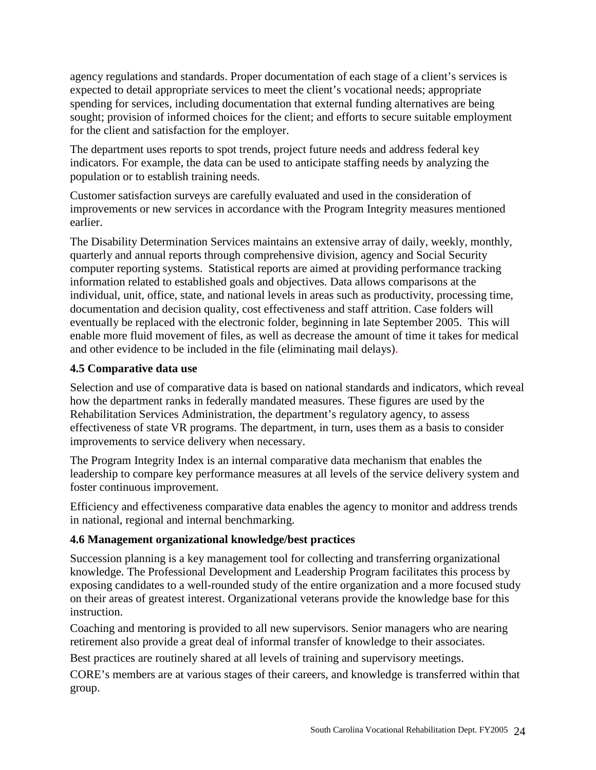agency regulations and standards. Proper documentation of each stage of a client's services is expected to detail appropriate services to meet the client's vocational needs; appropriate spending for services, including documentation that external funding alternatives are being sought; provision of informed choices for the client; and efforts to secure suitable employment for the client and satisfaction for the employer.

The department uses reports to spot trends, project future needs and address federal key indicators. For example, the data can be used to anticipate staffing needs by analyzing the population or to establish training needs.

Customer satisfaction surveys are carefully evaluated and used in the consideration of improvements or new services in accordance with the Program Integrity measures mentioned earlier.

The Disability Determination Services maintains an extensive array of daily, weekly, monthly, quarterly and annual reports through comprehensive division, agency and Social Security computer reporting systems. Statistical reports are aimed at providing performance tracking information related to established goals and objectives. Data allows comparisons at the individual, unit, office, state, and national levels in areas such as productivity, processing time, documentation and decision quality, cost effectiveness and staff attrition. Case folders will eventually be replaced with the electronic folder, beginning in late September 2005. This will enable more fluid movement of files, as well as decrease the amount of time it takes for medical and other evidence to be included in the file (eliminating mail delays).

# **4.5 Comparative data use**

Selection and use of comparative data is based on national standards and indicators, which reveal how the department ranks in federally mandated measures. These figures are used by the Rehabilitation Services Administration, the department's regulatory agency, to assess effectiveness of state VR programs. The department, in turn, uses them as a basis to consider improvements to service delivery when necessary.

The Program Integrity Index is an internal comparative data mechanism that enables the leadership to compare key performance measures at all levels of the service delivery system and foster continuous improvement.

Efficiency and effectiveness comparative data enables the agency to monitor and address trends in national, regional and internal benchmarking.

# **4.6 Management organizational knowledge/best practices**

Succession planning is a key management tool for collecting and transferring organizational knowledge. The Professional Development and Leadership Program facilitates this process by exposing candidates to a well-rounded study of the entire organization and a more focused study on their areas of greatest interest. Organizational veterans provide the knowledge base for this instruction.

Coaching and mentoring is provided to all new supervisors. Senior managers who are nearing retirement also provide a great deal of informal transfer of knowledge to their associates.

Best practices are routinely shared at all levels of training and supervisory meetings.

CORE's members are at various stages of their careers, and knowledge is transferred within that group.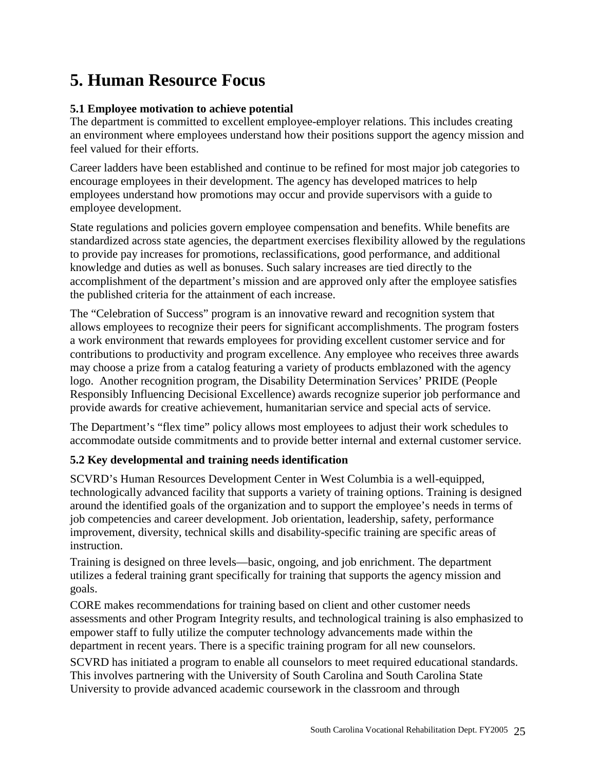# **5. Human Resource Focus**

# **5.1 Employee motivation to achieve potential**

The department is committed to excellent employee-employer relations. This includes creating an environment where employees understand how their positions support the agency mission and feel valued for their efforts.

Career ladders have been established and continue to be refined for most major job categories to encourage employees in their development. The agency has developed matrices to help employees understand how promotions may occur and provide supervisors with a guide to employee development.

State regulations and policies govern employee compensation and benefits. While benefits are standardized across state agencies, the department exercises flexibility allowed by the regulations to provide pay increases for promotions, reclassifications, good performance, and additional knowledge and duties as well as bonuses. Such salary increases are tied directly to the accomplishment of the department's mission and are approved only after the employee satisfies the published criteria for the attainment of each increase.

The "Celebration of Success" program is an innovative reward and recognition system that allows employees to recognize their peers for significant accomplishments. The program fosters a work environment that rewards employees for providing excellent customer service and for contributions to productivity and program excellence. Any employee who receives three awards may choose a prize from a catalog featuring a variety of products emblazoned with the agency logo. Another recognition program, the Disability Determination Services' PRIDE (People Responsibly Influencing Decisional Excellence) awards recognize superior job performance and provide awards for creative achievement, humanitarian service and special acts of service.

The Department's "flex time" policy allows most employees to adjust their work schedules to accommodate outside commitments and to provide better internal and external customer service.

# **5.2 Key developmental and training needs identification**

SCVRD's Human Resources Development Center in West Columbia is a well-equipped, technologically advanced facility that supports a variety of training options. Training is designed around the identified goals of the organization and to support the employee's needs in terms of job competencies and career development. Job orientation, leadership, safety, performance improvement, diversity, technical skills and disability-specific training are specific areas of instruction.

Training is designed on three levels—basic, ongoing, and job enrichment. The department utilizes a federal training grant specifically for training that supports the agency mission and goals.

CORE makes recommendations for training based on client and other customer needs assessments and other Program Integrity results, and technological training is also emphasized to empower staff to fully utilize the computer technology advancements made within the department in recent years. There is a specific training program for all new counselors.

SCVRD has initiated a program to enable all counselors to meet required educational standards. This involves partnering with the University of South Carolina and South Carolina State University to provide advanced academic coursework in the classroom and through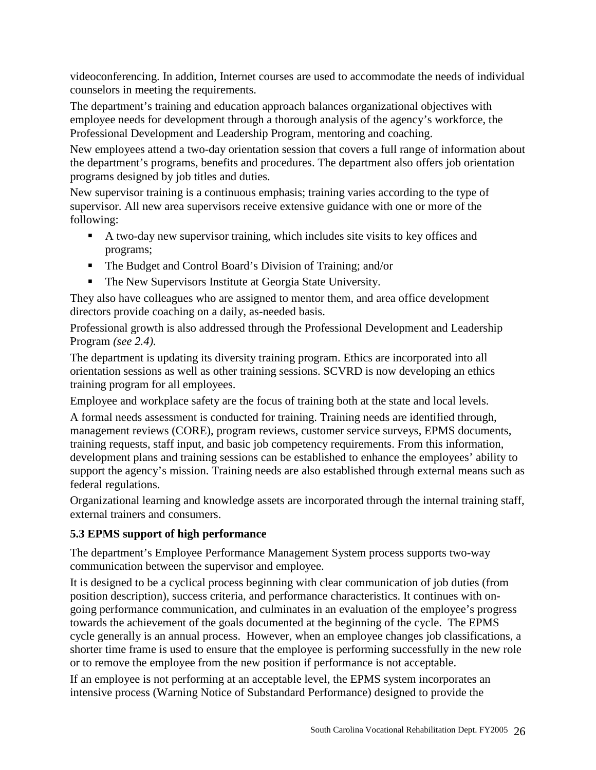videoconferencing. In addition, Internet courses are used to accommodate the needs of individual counselors in meeting the requirements.

The department's training and education approach balances organizational objectives with employee needs for development through a thorough analysis of the agency's workforce, the Professional Development and Leadership Program, mentoring and coaching.

New employees attend a two-day orientation session that covers a full range of information about the department's programs, benefits and procedures. The department also offers job orientation programs designed by job titles and duties.

New supervisor training is a continuous emphasis; training varies according to the type of supervisor. All new area supervisors receive extensive guidance with one or more of the following:

- A two-day new supervisor training, which includes site visits to key offices and programs;
- The Budget and Control Board's Division of Training; and/or
- The New Supervisors Institute at Georgia State University.

They also have colleagues who are assigned to mentor them, and area office development directors provide coaching on a daily, as-needed basis.

Professional growth is also addressed through the Professional Development and Leadership Program *(see 2.4).*

The department is updating its diversity training program. Ethics are incorporated into all orientation sessions as well as other training sessions. SCVRD is now developing an ethics training program for all employees.

Employee and workplace safety are the focus of training both at the state and local levels.

A formal needs assessment is conducted for training. Training needs are identified through, management reviews (CORE), program reviews, customer service surveys, EPMS documents, training requests, staff input, and basic job competency requirements. From this information, development plans and training sessions can be established to enhance the employees' ability to support the agency's mission. Training needs are also established through external means such as federal regulations.

Organizational learning and knowledge assets are incorporated through the internal training staff, external trainers and consumers.

# **5.3 EPMS support of high performance**

The department's Employee Performance Management System process supports two-way communication between the supervisor and employee.

It is designed to be a cyclical process beginning with clear communication of job duties (from position description), success criteria, and performance characteristics. It continues with ongoing performance communication, and culminates in an evaluation of the employee's progress towards the achievement of the goals documented at the beginning of the cycle. The EPMS cycle generally is an annual process. However, when an employee changes job classifications, a shorter time frame is used to ensure that the employee is performing successfully in the new role or to remove the employee from the new position if performance is not acceptable.

If an employee is not performing at an acceptable level, the EPMS system incorporates an intensive process (Warning Notice of Substandard Performance) designed to provide the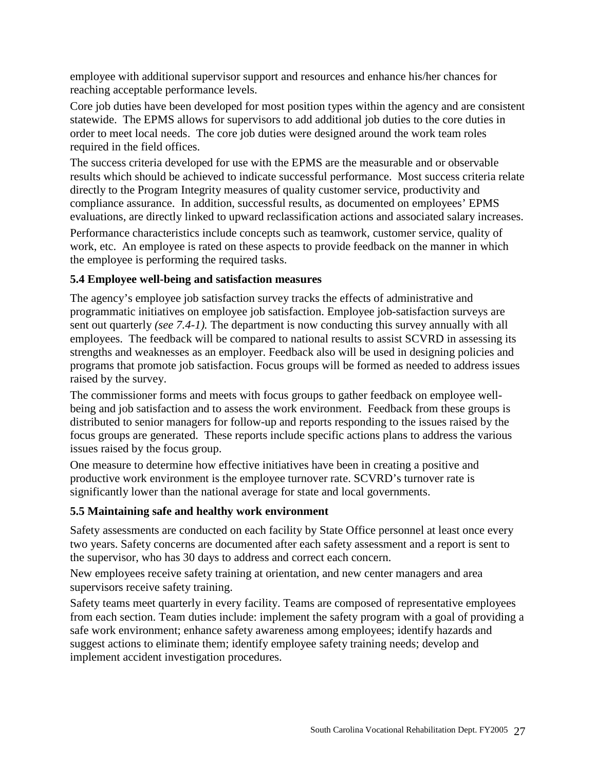employee with additional supervisor support and resources and enhance his/her chances for reaching acceptable performance levels.

Core job duties have been developed for most position types within the agency and are consistent statewide. The EPMS allows for supervisors to add additional job duties to the core duties in order to meet local needs. The core job duties were designed around the work team roles required in the field offices.

The success criteria developed for use with the EPMS are the measurable and or observable results which should be achieved to indicate successful performance. Most success criteria relate directly to the Program Integrity measures of quality customer service, productivity and compliance assurance. In addition, successful results, as documented on employees' EPMS evaluations, are directly linked to upward reclassification actions and associated salary increases.

Performance characteristics include concepts such as teamwork, customer service, quality of work, etc. An employee is rated on these aspects to provide feedback on the manner in which the employee is performing the required tasks.

# **5.4 Employee well-being and satisfaction measures**

The agency's employee job satisfaction survey tracks the effects of administrative and programmatic initiatives on employee job satisfaction. Employee job-satisfaction surveys are sent out quarterly *(see 7.4-1).* The department is now conducting this survey annually with all employees. The feedback will be compared to national results to assist SCVRD in assessing its strengths and weaknesses as an employer. Feedback also will be used in designing policies and programs that promote job satisfaction. Focus groups will be formed as needed to address issues raised by the survey.

The commissioner forms and meets with focus groups to gather feedback on employee wellbeing and job satisfaction and to assess the work environment. Feedback from these groups is distributed to senior managers for follow-up and reports responding to the issues raised by the focus groups are generated. These reports include specific actions plans to address the various issues raised by the focus group.

One measure to determine how effective initiatives have been in creating a positive and productive work environment is the employee turnover rate. SCVRD's turnover rate is significantly lower than the national average for state and local governments.

# **5.5 Maintaining safe and healthy work environment**

Safety assessments are conducted on each facility by State Office personnel at least once every two years. Safety concerns are documented after each safety assessment and a report is sent to the supervisor, who has 30 days to address and correct each concern.

New employees receive safety training at orientation, and new center managers and area supervisors receive safety training.

Safety teams meet quarterly in every facility. Teams are composed of representative employees from each section. Team duties include: implement the safety program with a goal of providing a safe work environment; enhance safety awareness among employees; identify hazards and suggest actions to eliminate them; identify employee safety training needs; develop and implement accident investigation procedures.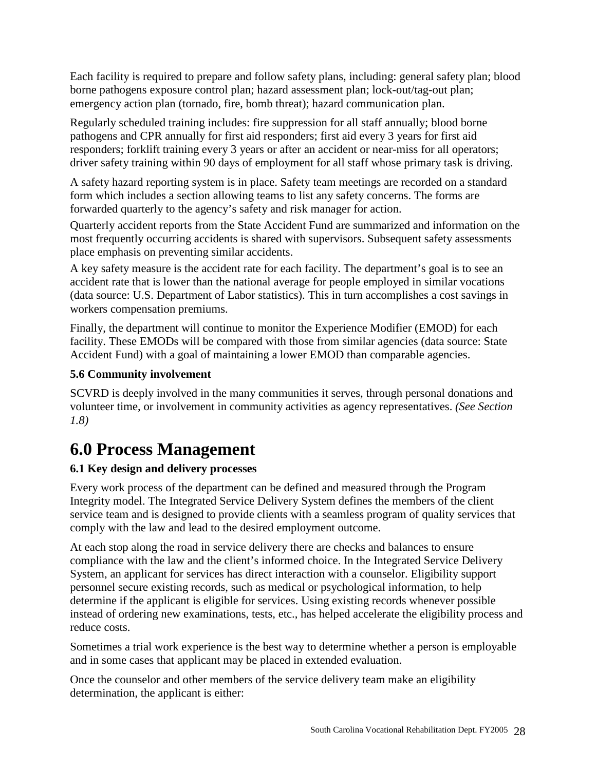Each facility is required to prepare and follow safety plans, including: general safety plan; blood borne pathogens exposure control plan; hazard assessment plan; lock-out/tag-out plan; emergency action plan (tornado, fire, bomb threat); hazard communication plan.

Regularly scheduled training includes: fire suppression for all staff annually; blood borne pathogens and CPR annually for first aid responders; first aid every 3 years for first aid responders; forklift training every 3 years or after an accident or near-miss for all operators; driver safety training within 90 days of employment for all staff whose primary task is driving.

A safety hazard reporting system is in place. Safety team meetings are recorded on a standard form which includes a section allowing teams to list any safety concerns. The forms are forwarded quarterly to the agency's safety and risk manager for action.

Quarterly accident reports from the State Accident Fund are summarized and information on the most frequently occurring accidents is shared with supervisors. Subsequent safety assessments place emphasis on preventing similar accidents.

A key safety measure is the accident rate for each facility. The department's goal is to see an accident rate that is lower than the national average for people employed in similar vocations (data source: U.S. Department of Labor statistics). This in turn accomplishes a cost savings in workers compensation premiums.

Finally, the department will continue to monitor the Experience Modifier (EMOD) for each facility. These EMODs will be compared with those from similar agencies (data source: State Accident Fund) with a goal of maintaining a lower EMOD than comparable agencies.

# **5.6 Community involvement**

SCVRD is deeply involved in the many communities it serves, through personal donations and volunteer time, or involvement in community activities as agency representatives. *(See Section 1.8)*

# **6.0 Process Management**

# **6.1 Key design and delivery processes**

Every work process of the department can be defined and measured through the Program Integrity model. The Integrated Service Delivery System defines the members of the client service team and is designed to provide clients with a seamless program of quality services that comply with the law and lead to the desired employment outcome.

At each stop along the road in service delivery there are checks and balances to ensure compliance with the law and the client's informed choice. In the Integrated Service Delivery System, an applicant for services has direct interaction with a counselor. Eligibility support personnel secure existing records, such as medical or psychological information, to help determine if the applicant is eligible for services. Using existing records whenever possible instead of ordering new examinations, tests, etc., has helped accelerate the eligibility process and reduce costs.

Sometimes a trial work experience is the best way to determine whether a person is employable and in some cases that applicant may be placed in extended evaluation.

Once the counselor and other members of the service delivery team make an eligibility determination, the applicant is either: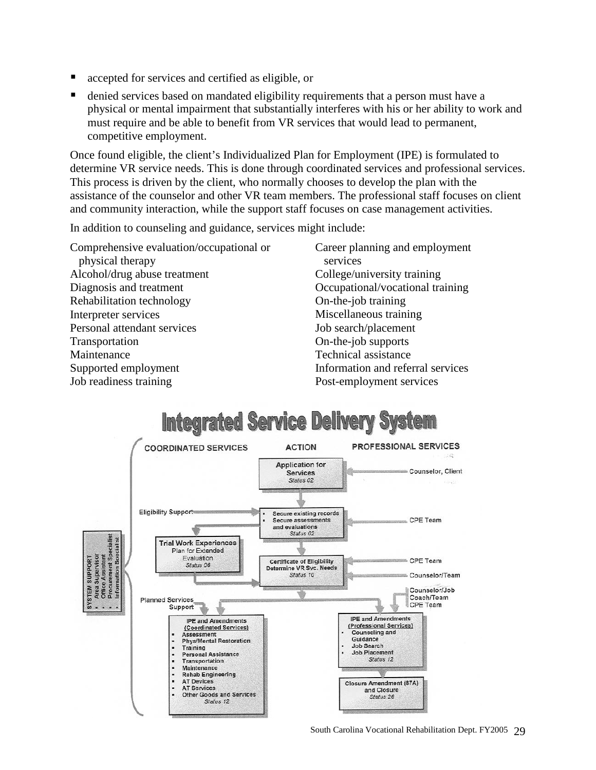- accepted for services and certified as eligible, or
- denied services based on mandated eligibility requirements that a person must have a physical or mental impairment that substantially interferes with his or her ability to work and must require and be able to benefit from VR services that would lead to permanent, competitive employment.

Once found eligible, the client's Individualized Plan for Employment (IPE) is formulated to determine VR service needs. This is done through coordinated services and professional services. This process is driven by the client, who normally chooses to develop the plan with the assistance of the counselor and other VR team members. The professional staff focuses on client and community interaction, while the support staff focuses on case management activities.

In addition to counseling and guidance, services might include:

Comprehensive evaluation/occupational or physical therapy Alcohol/drug abuse treatment Diagnosis and treatment Rehabilitation technology Interpreter services Personal attendant services **Transportation** Maintenance Supported employment Job readiness training

Career planning and employment services College/university training Occupational/vocational training On-the-job training Miscellaneous training Job search/placement On-the-job supports Technical assistance Information and referral services Post-employment services

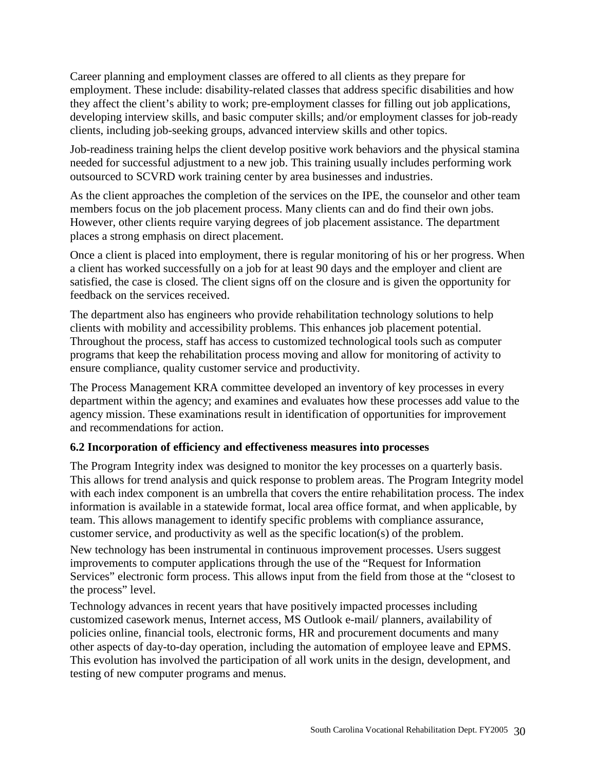Career planning and employment classes are offered to all clients as they prepare for employment. These include: disability-related classes that address specific disabilities and how they affect the client's ability to work; pre-employment classes for filling out job applications, developing interview skills, and basic computer skills; and/or employment classes for job-ready clients, including job-seeking groups, advanced interview skills and other topics.

Job-readiness training helps the client develop positive work behaviors and the physical stamina needed for successful adjustment to a new job. This training usually includes performing work outsourced to SCVRD work training center by area businesses and industries.

As the client approaches the completion of the services on the IPE, the counselor and other team members focus on the job placement process. Many clients can and do find their own jobs. However, other clients require varying degrees of job placement assistance. The department places a strong emphasis on direct placement.

Once a client is placed into employment, there is regular monitoring of his or her progress. When a client has worked successfully on a job for at least 90 days and the employer and client are satisfied, the case is closed. The client signs off on the closure and is given the opportunity for feedback on the services received.

The department also has engineers who provide rehabilitation technology solutions to help clients with mobility and accessibility problems. This enhances job placement potential. Throughout the process, staff has access to customized technological tools such as computer programs that keep the rehabilitation process moving and allow for monitoring of activity to ensure compliance, quality customer service and productivity.

The Process Management KRA committee developed an inventory of key processes in every department within the agency; and examines and evaluates how these processes add value to the agency mission. These examinations result in identification of opportunities for improvement and recommendations for action.

# **6.2 Incorporation of efficiency and effectiveness measures into processes**

The Program Integrity index was designed to monitor the key processes on a quarterly basis. This allows for trend analysis and quick response to problem areas. The Program Integrity model with each index component is an umbrella that covers the entire rehabilitation process. The index information is available in a statewide format, local area office format, and when applicable, by team. This allows management to identify specific problems with compliance assurance, customer service, and productivity as well as the specific location(s) of the problem.

New technology has been instrumental in continuous improvement processes. Users suggest improvements to computer applications through the use of the "Request for Information Services" electronic form process. This allows input from the field from those at the "closest to the process" level.

Technology advances in recent years that have positively impacted processes including customized casework menus, Internet access, MS Outlook e-mail/ planners, availability of policies online, financial tools, electronic forms, HR and procurement documents and many other aspects of day-to-day operation, including the automation of employee leave and EPMS. This evolution has involved the participation of all work units in the design, development, and testing of new computer programs and menus.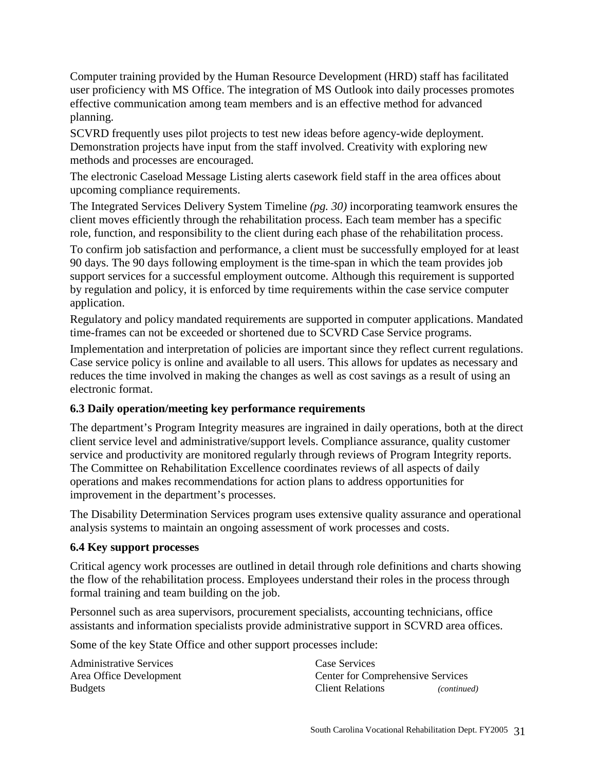Computer training provided by the Human Resource Development (HRD) staff has facilitated user proficiency with MS Office. The integration of MS Outlook into daily processes promotes effective communication among team members and is an effective method for advanced planning.

SCVRD frequently uses pilot projects to test new ideas before agency-wide deployment. Demonstration projects have input from the staff involved. Creativity with exploring new methods and processes are encouraged.

The electronic Caseload Message Listing alerts casework field staff in the area offices about upcoming compliance requirements.

The Integrated Services Delivery System Timeline *(pg. 30)* incorporating teamwork ensures the client moves efficiently through the rehabilitation process. Each team member has a specific role, function, and responsibility to the client during each phase of the rehabilitation process.

To confirm job satisfaction and performance, a client must be successfully employed for at least 90 days. The 90 days following employment is the time-span in which the team provides job support services for a successful employment outcome. Although this requirement is supported by regulation and policy, it is enforced by time requirements within the case service computer application.

Regulatory and policy mandated requirements are supported in computer applications. Mandated time-frames can not be exceeded or shortened due to SCVRD Case Service programs.

Implementation and interpretation of policies are important since they reflect current regulations. Case service policy is online and available to all users. This allows for updates as necessary and reduces the time involved in making the changes as well as cost savings as a result of using an electronic format.

# **6.3 Daily operation/meeting key performance requirements**

The department's Program Integrity measures are ingrained in daily operations, both at the direct client service level and administrative/support levels. Compliance assurance, quality customer service and productivity are monitored regularly through reviews of Program Integrity reports. The Committee on Rehabilitation Excellence coordinates reviews of all aspects of daily operations and makes recommendations for action plans to address opportunities for improvement in the department's processes.

The Disability Determination Services program uses extensive quality assurance and operational analysis systems to maintain an ongoing assessment of work processes and costs.

# **6.4 Key support processes**

Critical agency work processes are outlined in detail through role definitions and charts showing the flow of the rehabilitation process. Employees understand their roles in the process through formal training and team building on the job.

Personnel such as area supervisors, procurement specialists, accounting technicians, office assistants and information specialists provide administrative support in SCVRD area offices.

Some of the key State Office and other support processes include:

Administrative Services Area Office Development Budgets

Case Services Center for Comprehensive Services Client Relations *(continued)*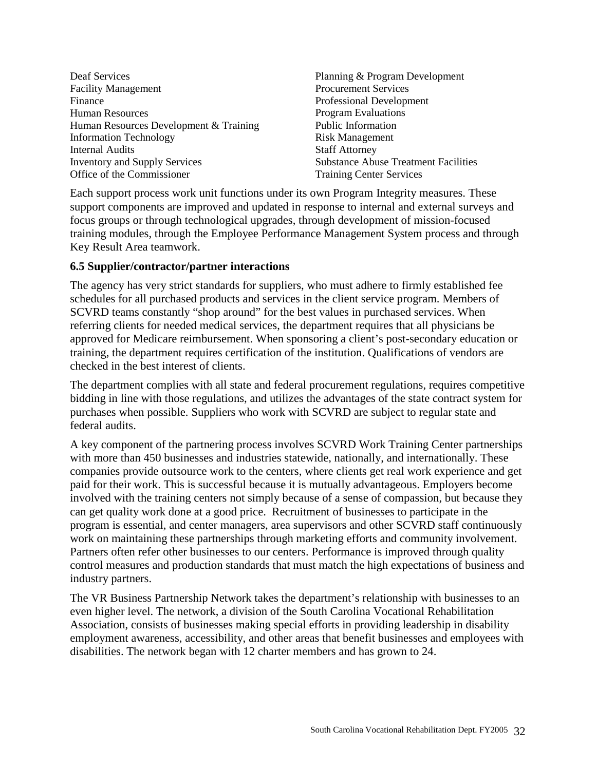- Deaf Services Facility Management Finance Human Resources Human Resources Development & Training Information Technology Internal Audits Inventory and Supply Services Office of the Commissioner
- Planning & Program Development Procurement Services Professional Development Program Evaluations Public Information Risk Management Staff Attorney Substance Abuse Treatment Facilities Training Center Services

Each support process work unit functions under its own Program Integrity measures. These support components are improved and updated in response to internal and external surveys and focus groups or through technological upgrades, through development of mission-focused training modules, through the Employee Performance Management System process and through Key Result Area teamwork.

# **6.5 Supplier/contractor/partner interactions**

The agency has very strict standards for suppliers, who must adhere to firmly established fee schedules for all purchased products and services in the client service program. Members of SCVRD teams constantly "shop around" for the best values in purchased services. When referring clients for needed medical services, the department requires that all physicians be approved for Medicare reimbursement. When sponsoring a client's post-secondary education or training, the department requires certification of the institution. Qualifications of vendors are checked in the best interest of clients.

The department complies with all state and federal procurement regulations, requires competitive bidding in line with those regulations, and utilizes the advantages of the state contract system for purchases when possible. Suppliers who work with SCVRD are subject to regular state and federal audits.

A key component of the partnering process involves SCVRD Work Training Center partnerships with more than 450 businesses and industries statewide, nationally, and internationally. These companies provide outsource work to the centers, where clients get real work experience and get paid for their work. This is successful because it is mutually advantageous. Employers become involved with the training centers not simply because of a sense of compassion, but because they can get quality work done at a good price. Recruitment of businesses to participate in the program is essential, and center managers, area supervisors and other SCVRD staff continuously work on maintaining these partnerships through marketing efforts and community involvement. Partners often refer other businesses to our centers. Performance is improved through quality control measures and production standards that must match the high expectations of business and industry partners.

The VR Business Partnership Network takes the department's relationship with businesses to an even higher level. The network, a division of the South Carolina Vocational Rehabilitation Association, consists of businesses making special efforts in providing leadership in disability employment awareness, accessibility, and other areas that benefit businesses and employees with disabilities. The network began with 12 charter members and has grown to 24.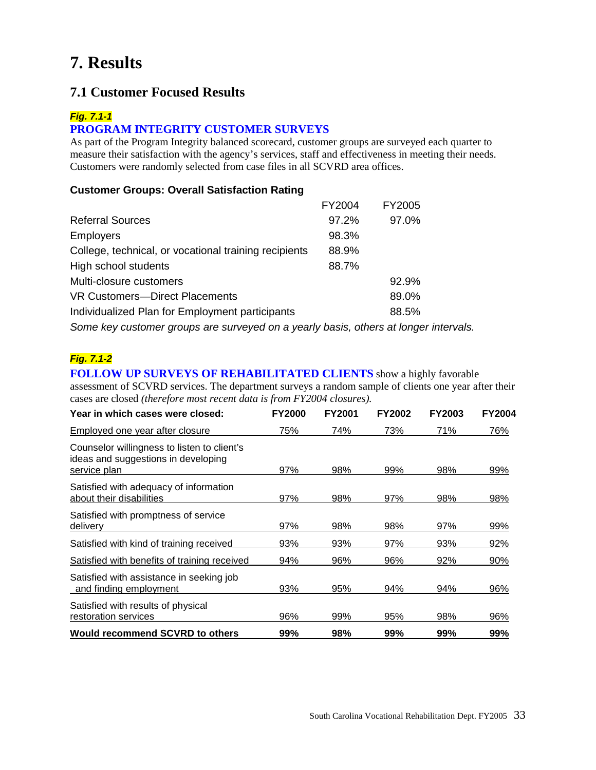# **7. Results**

# **7.1 Customer Focused Results**

#### *Fig. 7.1-1*

# **PROGRAM INTEGRITY CUSTOMER SURVEYS**

As part of the Program Integrity balanced scorecard, customer groups are surveyed each quarter to measure their satisfaction with the agency's services, staff and effectiveness in meeting their needs. Customers were randomly selected from case files in all SCVRD area offices.

#### **Customer Groups: Overall Satisfaction Rating**

|                                                                                      | FY2004 | FY2005 |  |
|--------------------------------------------------------------------------------------|--------|--------|--|
| <b>Referral Sources</b>                                                              | 97.2%  | 97.0%  |  |
| <b>Employers</b>                                                                     | 98.3%  |        |  |
| College, technical, or vocational training recipients                                | 88.9%  |        |  |
| High school students                                                                 | 88.7%  |        |  |
| Multi-closure customers                                                              |        | 92.9%  |  |
| VR Customers-Direct Placements                                                       |        | 89.0%  |  |
| Individualized Plan for Employment participants                                      |        | 88.5%  |  |
| Some key customer groups are surveyed on a yearly basis, others at longer intervals. |        |        |  |

### *Fig. 7.1-2*

**FOLLOW UP SURVEYS OF REHABILITATED CLIENTS** show a highly favorable assessment of SCVRD services. The department surveys a random sample of clients one year after their cases are closed *(therefore most recent data is from FY2004 closures).*

| Year in which cases were closed:                                                                   | <b>FY2000</b> | FY2001 | <b>FY2002</b> | <b>FY2003</b> | <b>FY2004</b> |
|----------------------------------------------------------------------------------------------------|---------------|--------|---------------|---------------|---------------|
| Employed one year after closure                                                                    | 75%           | 74%    | 73%           | 71%           | 76%           |
| Counselor willingness to listen to client's<br>ideas and suggestions in developing<br>service plan | 97%           | 98%    | 99%           | 98%           | 99%           |
| Satisfied with adequacy of information<br>about their disabilities                                 | 97%           | 98%    | 97%           | 98%           | 98%           |
| Satisfied with promptness of service<br>delivery                                                   | 97%           | 98%    | 98%           | 97%           | 99%           |
| Satisfied with kind of training received                                                           | 93%           | 93%    | 97%           | 93%           | 92%           |
| Satisfied with benefits of training received                                                       | 94%           | 96%    | 96%           | 92%           | 90%           |
| Satisfied with assistance in seeking job<br>and finding employment                                 | 93%           | 95%    | 94%           | 94%           | 96%           |
| Satisfied with results of physical<br>restoration services                                         | 96%           | 99%    | 95%           | 98%           | 96%           |
| <b>Would recommend SCVRD to others</b>                                                             | 99%           | 98%    | 99%           | 99%           | 99%           |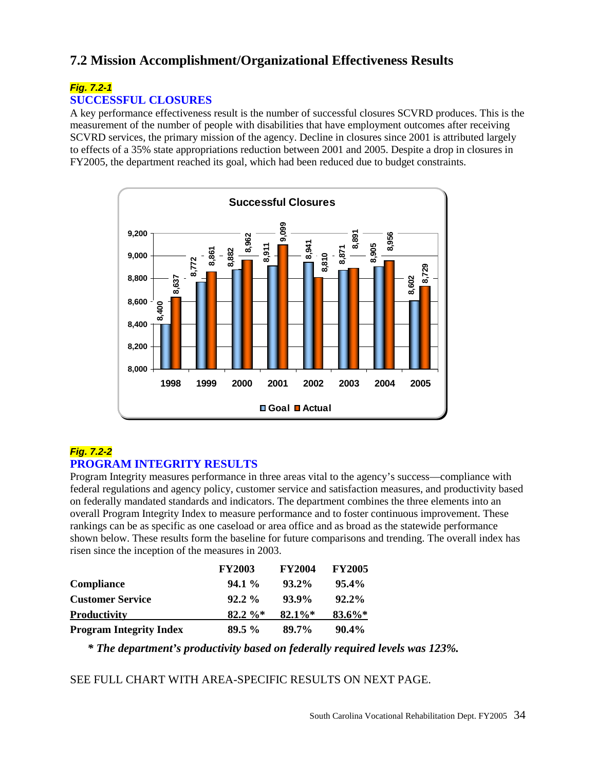# **7.2 Mission Accomplishment/Organizational Effectiveness Results**

#### *Fig. 7.2-1* **SUCCESSFUL CLOSURES**

A key performance effectiveness result is the number of successful closures SCVRD produces. This is the measurement of the number of people with disabilities that have employment outcomes after receiving SCVRD services, the primary mission of the agency. Decline in closures since 2001 is attributed largely to effects of a 35% state appropriations reduction between 2001 and 2005. Despite a drop in closures in FY2005, the department reached its goal, which had been reduced due to budget constraints.



# *Fig. 7.2-2* **PROGRAM INTEGRITY RESULTS**

Program Integrity measures performance in three areas vital to the agency's success—compliance with federal regulations and agency policy, customer service and satisfaction measures, and productivity based on federally mandated standards and indicators. The department combines the three elements into an overall Program Integrity Index to measure performance and to foster continuous improvement. These rankings can be as specific as one caseload or area office and as broad as the statewide performance shown below. These results form the baseline for future comparisons and trending. The overall index has risen since the inception of the measures in 2003.

|                                | <b>FY2003</b> | <b>FY2004</b> | <b>FY2005</b> |
|--------------------------------|---------------|---------------|---------------|
| <b>Compliance</b>              | $94.1\%$      | $93.2\%$      | $95.4\%$      |
| <b>Customer Service</b>        | $92.2\%$      | $93.9\%$      | $92.2\%$      |
| <b>Productivity</b>            | $82.2 \%$     | $82.1\%*$     | $83.6\%*$     |
| <b>Program Integrity Index</b> | $89.5\%$      | 89.7%         | $90.4\%$      |

*\* The department's productivity based on federally required levels was 123%.*

SEE FULL CHART WITH AREA-SPECIFIC RESULTS ON NEXT PAGE.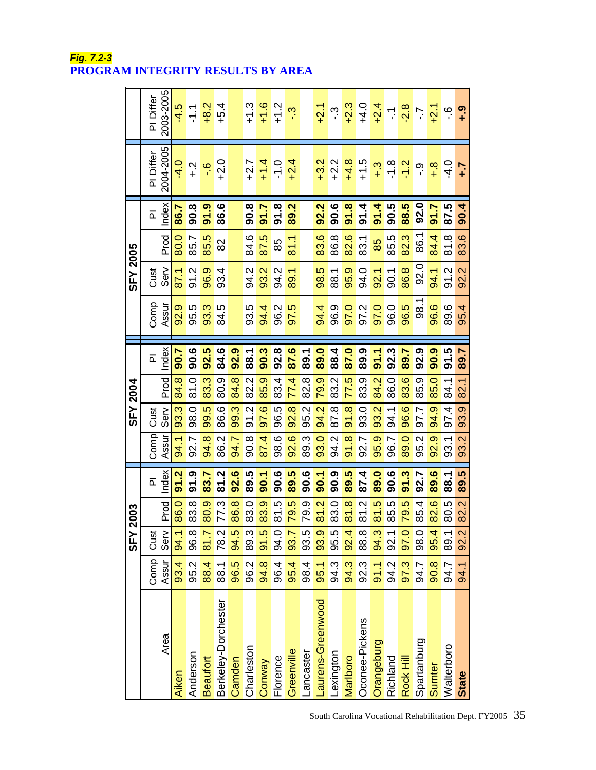|                     |       | SFY <sub>21</sub> | 003  |                               |       | <b>SFY 2004</b>      |      |                         |            | <b>SFY 2005</b> |      |                         |              |               |
|---------------------|-------|-------------------|------|-------------------------------|-------|----------------------|------|-------------------------|------------|-----------------|------|-------------------------|--------------|---------------|
|                     | Comp  | Cust              |      | $\overline{\mathbf{r}}$       | Comp  | Cust                 |      | $\overline{\mathbf{a}}$ | Comp       | Cust            |      | $\overline{\mathbf{r}}$ | PI Differ    | PI Differ     |
| Area                | Assur | Serv              | Prod | Index                         | Assur | $rac{8}{3}$          | Prod | Index                   | Assur      | Serv            | Prod | Index                   | 2004-2005    | 2003-2005     |
| Aiken               | 93.4  | 94.1              | 86.0 | Ņ<br>5                        | 94.1  | 93.3                 | 84.8 | 90.7                    | 92.9       | 87.1            | 80.0 | 86.7                    | $-4.0$       | $-4.5$        |
| Anderson            | 95.2  | 96.8              | 83.8 | <u>၈</u><br>$\overline{5}$    | 92.7  | 98.0                 | 81.0 | 90.6                    | 95.5       | 91.2            | 85.7 | 90.8                    | $\ddot{ }$ . | $\frac{1}{2}$ |
| <b>Beaufort</b>     | 88.4  | 81.7              | 80.9 | 83.7                          | 94.8  | 99.5                 | 83.3 | 92.5                    | 93.3       | 96.9            | 85.5 | 91.9                    | ە.<br>-      | $+8.2$        |
| Berkeley-Dorchester | 88.1  | 78.2              | 77.3 | יִ<br>$\overline{\mathbf{5}}$ | 86.2  | 86.6                 | 80.9 | 84.6                    | r.<br>84.  | 93.4            | 82   | 86.6                    | $+2.0$       | $+5.4$        |
| Camden              | 96.5  | 94.5              | 86.8 | 92.6                          | 94.7  | 99.3                 | 84.8 | 92.9                    |            |                 |      |                         |              |               |
| Charleston          | 96.2  | 89.3              | 83.0 | 89.5                          | 90.8  | 91.2                 | 82.2 | 88.1                    | 93.5       | 94.2            | 84.6 | 90.8                    | $+2.7$       | $+1.3$        |
| Conway              | 94.8  | 91.5              | 83.9 | 90.1                          | 87.4  | 97.6                 | 85.9 | 90.3                    | 94.4       | 93.2            | 87.5 | 5.16                    | $+1.4$       | $+1.6$        |
| Florence            | 96.4  | 94.0              | 81.5 | 90.6                          | 98.6  | 96.5                 | 83.4 | 92.8                    | 96.2       | 94.2            | 85   | 91.8                    | $-1.0$       | $+1.2$        |
| Greenville          | 95.4  | 93.7              | 79.5 | 89.5                          | 92.6  | 92.8                 | 77.4 | 87.6                    | ró.<br>97. | 89.1            | 81.1 | 89.2                    | $+2.4$       | <u>ي</u> ۔    |
| ancaster            | 98.4  | 93.5              | 79.9 | 90.6                          | 89.3  | 95.2                 | 82.8 | 89.1                    |            |                 |      |                         |              |               |
| aurens-Greenwood    | 95.1  | 93.9              | 81.2 | 50.1                          | 93.0  | 94.2                 | 79.9 | 89.0                    | 94.4       | 98.5            | 83.6 | 92.2                    | $+3.2$       | $+2.1$        |
| exington            | 94.3  | 95.5              | 83.0 | 90.9                          | 94.2  | 87.8                 | 83.2 | 88.4                    | 96.9       | 88.1            | 86.8 | 90.6                    | $+2.2$       | က္            |
| Marlboro            | 94.3  | 92.4              | 81.8 | 89.5                          | 91.8  | 91.8                 | 77.5 | 87.0                    | 97.0       | 95.9            | 82.6 | 91.8                    | $+4.8$       | $+2.3$        |
| Oconee-Pickens      | 92.3  | 88.8              | 81.2 | 87.4                          | 92.7  | 93.0                 | 83.9 | 89.9                    | 97.2       | 94.0            | 83.1 | 91.4                    | $+1.5$       | $+4.0$        |
| Orangeburg          | 91.1  | 94.3              | 81.5 | 89.0                          | 95.9  | 93.2                 | 84.2 | 91.1                    | 97.0       | 92.1            | 85   | 91.4                    | $\ddot{ }$ . | $+2.4$        |
| Richland            | 94.2  | 92.1              | 85.5 | 90.6                          | 96.7  | 94.1                 | 86.0 | 92.3                    | 96.0       | $-0.1$          | 85.5 | 90.5                    | $-1.8$       | 두             |
| Rock Hill           | 97.3  | 97.0              | 79.5 | 91.3                          | 89.0  | 96.6                 | 83.6 | 89.7                    | 96.5       | 86.8            | 82.3 | 88.5                    | $-1.2$       | $-2.8$        |
| Spartanburg         | 94.7  | 98.0              | 85.4 | 92.7                          | 95.2  | 97.7                 | 85.9 | 92.9                    | 98.1       | 92.0            | 86.1 | 92.0                    | <u>့်</u>    | خ.            |
| Sumter              | 90.8  | 95.4              | 82.6 | 89.6                          | 92.9  | တု<br>$\overline{4}$ | 85.0 | 90.9                    | 96.6       | 94.1            | 84.4 | 91.7                    | $+8$         | $+2.1$        |
| Walterboro          | 94.7  | 89.1              | 80.5 | 88.1                          | 93.1  | 97.4                 | 84.1 | 91.5                    | 89.6       | 91.2            | 81.8 | 87.5                    | $-4.0$       | ؋             |
| State               | 94.1  | 92.2              | 82.2 | 89.5                          | 93.2  | 93.9                 | 82.1 | 89.7                    | 95.4       | 92.2            | 83.6 | 90.4                    | -7           | <u>၈</u>      |

*Fig. 7.2-3* **PROGRAM INTEGRITY RESULTS BY AREA**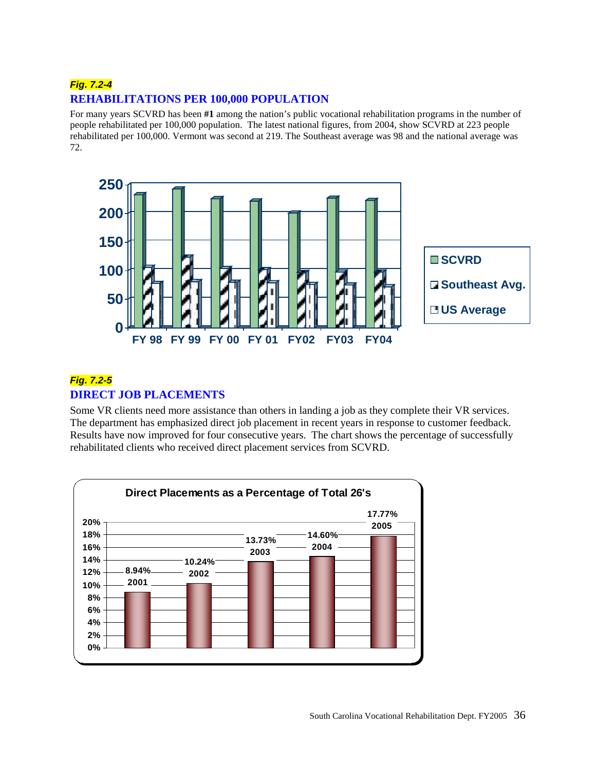# *Fig. 7.2-4* **REHABILITATIONS PER 100,000 POPULATION**

For many years SCVRD has been **#1** among the nation's public vocational rehabilitation programs in the number of people rehabilitated per 100,000 population. The latest national figures, from 2004, show SCVRD at 223 people rehabilitated per 100,000. Vermont was second at 219. The Southeast average was 98 and the national average was 72.



# *Fig. 7.2-5* **DIRECT JOB PLACEMENTS**

Some VR clients need more assistance than others in landing a job as they complete their VR services. The department has emphasized direct job placement in recent years in response to customer feedback. Results have now improved for four consecutive years. The chart shows the percentage of successfully rehabilitated clients who received direct placement services from SCVRD.

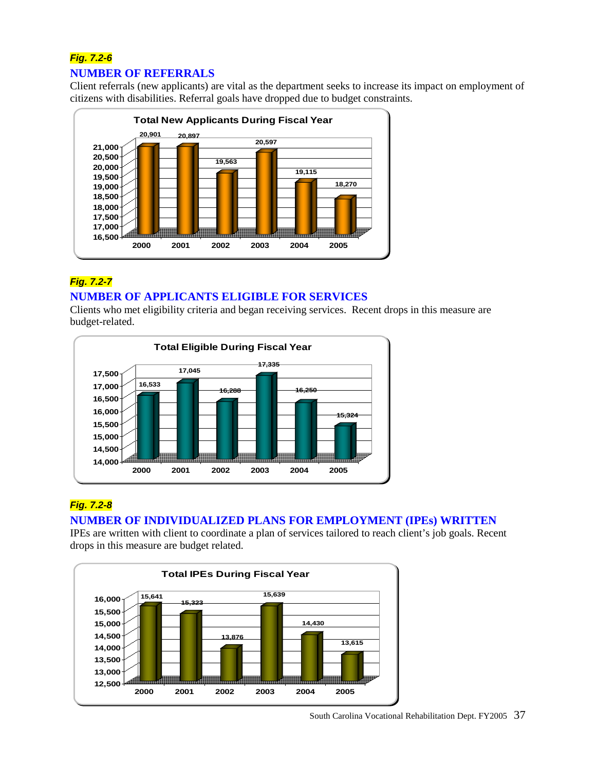# *Fig. 7.2-6* **NUMBER OF REFERRALS**

Client referrals (new applicants) are vital as the department seeks to increase its impact on employment of citizens with disabilities. Referral goals have dropped due to budget constraints.



# *Fig. 7.2-7* **NUMBER OF APPLICANTS ELIGIBLE FOR SERVICES**

Clients who met eligibility criteria and began receiving services. Recent drops in this measure are budget-related.



# *Fig. 7.2-8*

# **NUMBER OF INDIVIDUALIZED PLANS FOR EMPLOYMENT (IPEs) WRITTEN**

IPEs are written with client to coordinate a plan of services tailored to reach client's job goals. Recent drops in this measure are budget related.

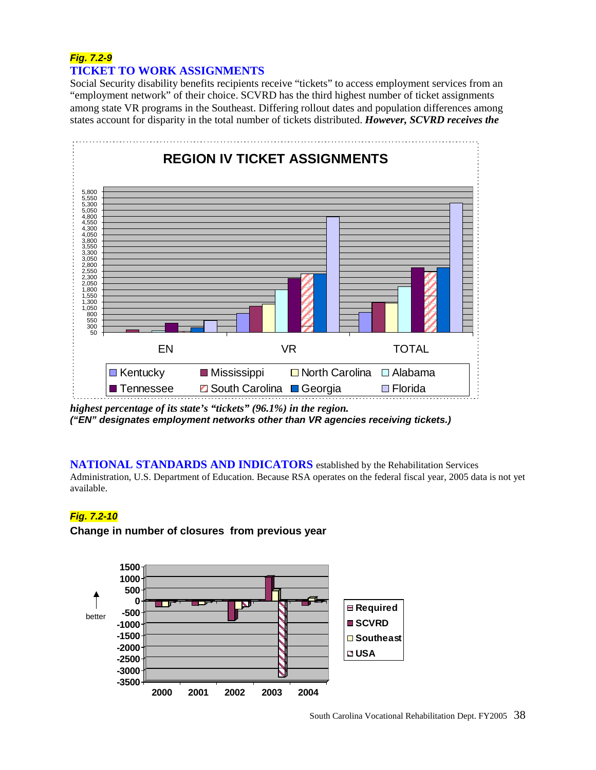# *Fig. 7.2-9* **TICKET TO WORK ASSIGNMENTS**

Social Security disability benefits recipients receive "tickets" to access employment services from an "employment network" of their choice. SCVRD has the third highest number of ticket assignments among state VR programs in the Southeast. Differing rollout dates and population differences among states account for disparity in the total number of tickets distributed. *However, SCVRD receives the* 



*highest percentage of its state's "tickets" (96.1%) in the region. ("EN" designates employment networks other than VR agencies receiving tickets.)*

#### **NATIONAL STANDARDS AND INDICATORS** established by the Rehabilitation Services

Administration, U.S. Department of Education. Because RSA operates on the federal fiscal year, 2005 data is not yet available.

#### *Fig. 7.2-10*

#### **Change in number of closures from previous year**

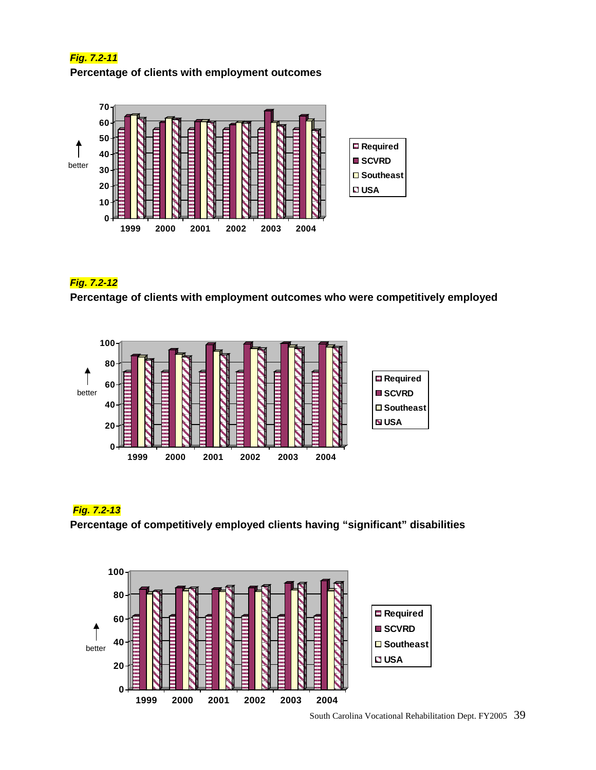# *Fig. 7.2-11*  **Percentage of clients with employment outcomes**



### *Fig. 7.2-12*

**Percentage of clients with employment outcomes who were competitively employed**



# *Fig. 7.2-13*

**Percentage of competitively employed clients having "significant" disabilities**

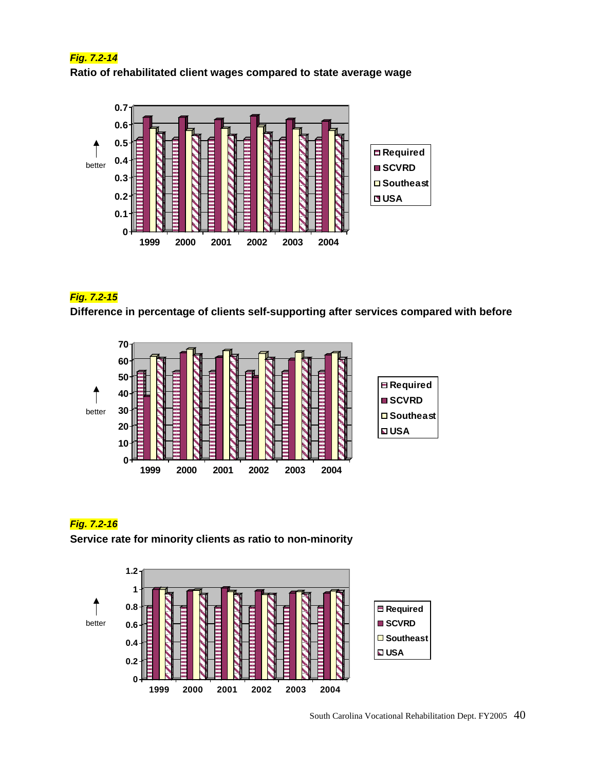# *Fig. 7.2-14* **Ratio of rehabilitated client wages compared to state average wage**



# *Fig. 7.2-15*

**Difference in percentage of clients self-supporting after services compared with before**



# *Fig. 7.2-16*

**Service rate for minority clients as ratio to non-minority**

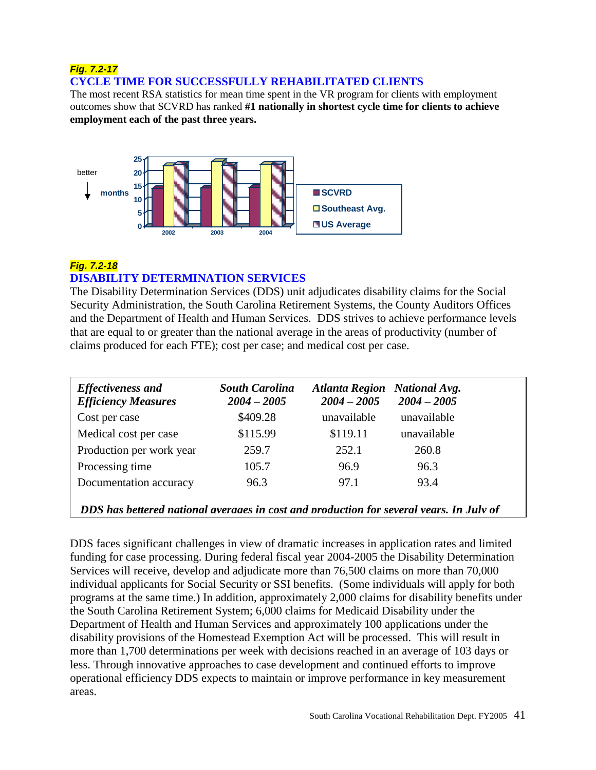# *Fig. 7.2-17* **CYCLE TIME FOR SUCCESSFULLY REHABILITATED CLIENTS**

The most recent RSA statistics for mean time spent in the VR program for clients with employment outcomes show that SCVRD has ranked **#1 nationally in shortest cycle time for clients to achieve employment each of the past three years.**



# *Fig. 7.2-18*

# **DISABILITY DETERMINATION SERVICES**

The Disability Determination Services (DDS) unit adjudicates disability claims for the Social Security Administration, the South Carolina Retirement Systems, the County Auditors Offices and the Department of Health and Human Services. DDS strives to achieve performance levels that are equal to or greater than the national average in the areas of productivity (number of claims produced for each FTE); cost per case; and medical cost per case.

| <b>Effectiveness and</b><br><b>Efficiency Measures</b>                                  | <b>South Carolina</b><br>$2004 - 2005$ | <b>Atlanta Region</b><br>$2004 - 2005$ | <b>National Avg.</b><br>$2004 - 2005$ |  |  |
|-----------------------------------------------------------------------------------------|----------------------------------------|----------------------------------------|---------------------------------------|--|--|
| Cost per case                                                                           | \$409.28                               | unavailable                            | unavailable                           |  |  |
| Medical cost per case                                                                   | \$115.99                               | \$119.11                               | unavailable                           |  |  |
| Production per work year                                                                | 259.7                                  | 252.1                                  | 260.8                                 |  |  |
| Processing time                                                                         | 105.7                                  | 96.9                                   | 96.3                                  |  |  |
| Documentation accuracy                                                                  | 96.3                                   | 97.1                                   | 93.4                                  |  |  |
| DDS has bettered national averages in cost and production for several vears. In July of |                                        |                                        |                                       |  |  |

DDS faces significant challenges in view of dramatic increases in application rates and limited  funding for case processing. During federal fiscal year 2004-2005 the Disability Determination  Exervices will receive, develop and adjudicate more than 76,500 claims on more than 70,000 individual applicants for Social Security or SSI benefits. (Some individuals will apply for both  programs at the same time.) In addition, approximately 2,000 claims for disability benefits under programs at the same time.) In addition, approximately 2,000 claims for disability benefits under programs at the same time.) In addition, approximately 2,000 claims for disability under the South Carolina Retirement System; 6,000 claims for Medicaid Disability under the Department of Health and Human Services and approximately 100 applications under the disability provisions of the Homestead Exemption Act will be processed. This will result in more than 1,700 determinations per week with decisions reached in an average of 103 days or less. Through innovative approaches to case development and continued efforts to improve operational efficiency DDS expects to maintain or improve performance in key measurement areas.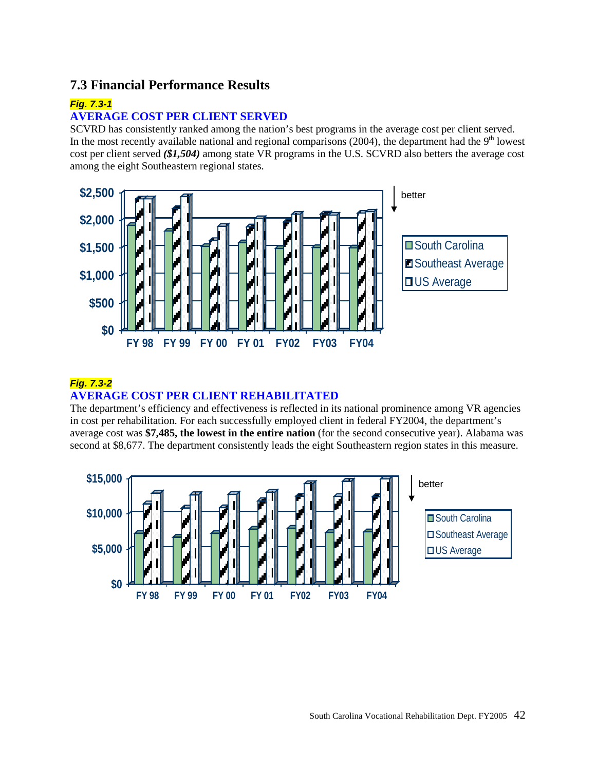# **7.3 Financial Performance Results**

#### *Fig. 7.3-1*

#### **AVERAGE COST PER CLIENT SERVED**

SCVRD has consistently ranked among the nation's best programs in the average cost per client served. In the most recently available national and regional comparisons  $(2004)$ , the department had the 9<sup>th</sup> lowest cost per client served *(\$1,504)* among state VR programs in the U.S. SCVRD also betters the average cost among the eight Southeastern regional states.



### *Fig. 7.3-2*  **AVERAGE COST PER CLIENT REHABILITATED**

The department's efficiency and effectiveness is reflected in its national prominence among VR agencies in cost per rehabilitation. For each successfully employed client in federal FY2004, the department's average cost was **\$7,485, the lowest in the entire nation** (for the second consecutive year). Alabama was second at \$8,677. The department consistently leads the eight Southeastern region states in this measure.

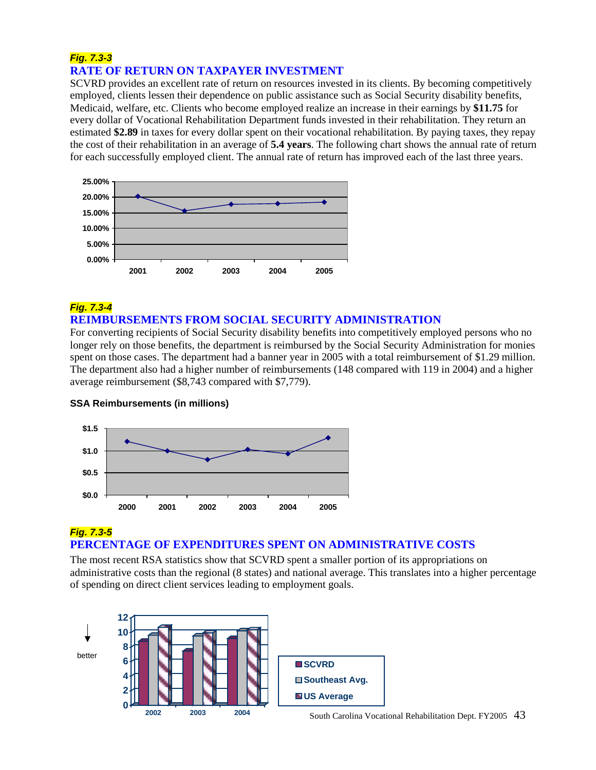# *Fig. 7.3-3*  **RATE OF RETURN ON TAXPAYER INVESTMENT**

SCVRD provides an excellent rate of return on resources invested in its clients. By becoming competitively employed, clients lessen their dependence on public assistance such as Social Security disability benefits, Medicaid, welfare, etc. Clients who become employed realize an increase in their earnings by **\$11.75** for every dollar of Vocational Rehabilitation Department funds invested in their rehabilitation. They return an estimated **\$2.89** in taxes for every dollar spent on their vocational rehabilitation. By paying taxes, they repay the cost of their rehabilitation in an average of **5.4 years**. The following chart shows the annual rate of return for each successfully employed client. The annual rate of return has improved each of the last three years.



# *Fig. 7.3-4*

#### **REIMBURSEMENTS FROM SOCIAL SECURITY ADMINISTRATION**

For converting recipients of Social Security disability benefits into competitively employed persons who no longer rely on those benefits, the department is reimbursed by the Social Security Administration for monies spent on those cases. The department had a banner year in 2005 with a total reimbursement of \$1.29 million. The department also had a higher number of reimbursements (148 compared with 119 in 2004) and a higher average reimbursement (\$8,743 compared with \$7,779).



#### **SSA Reimbursements (in millions)**

# *Fig. 7.3-5* **PERCENTAGE OF EXPENDITURES SPENT ON ADMINISTRATIVE COSTS**

The most recent RSA statistics show that SCVRD spent a smaller portion of its appropriations on administrative costs than the regional (8 states) and national average. This translates into a higher percentage of spending on direct client services leading to employment goals.

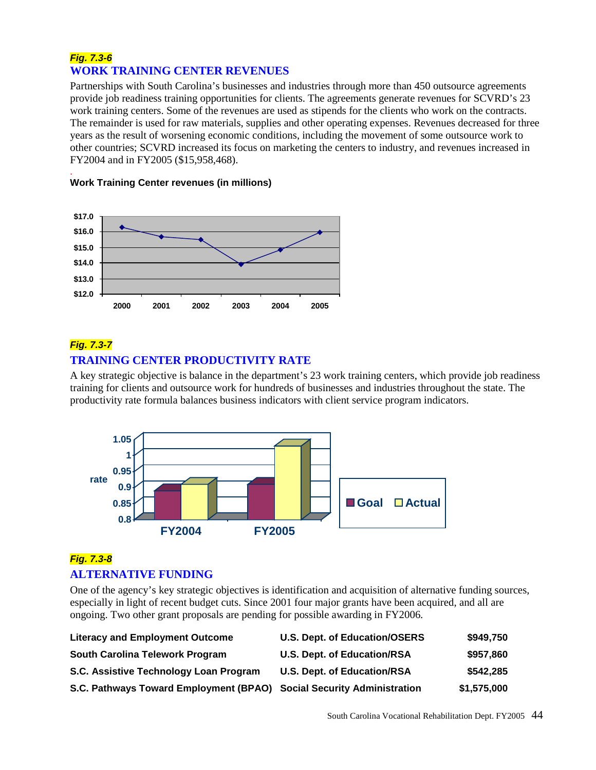# *Fig. 7.3-6* **WORK TRAINING CENTER REVENUES**

Partnerships with South Carolina's businesses and industries through more than 450 outsource agreements provide job readiness training opportunities for clients. The agreements generate revenues for SCVRD's 23 work training centers. Some of the revenues are used as stipends for the clients who work on the contracts. The remainder is used for raw materials, supplies and other operating expenses. Revenues decreased for three years as the result of worsening economic conditions, including the movement of some outsource work to other countries; SCVRD increased its focus on marketing the centers to industry, and revenues increased in FY2004 and in FY2005 (\$15,958,468).



#### . **Work Training Center revenues (in millions)**

# *Fig. 7.3-7* **TRAINING CENTER PRODUCTIVITY RATE**

A key strategic objective is balance in the department's 23 work training centers, which provide job readiness training for clients and outsource work for hundreds of businesses and industries throughout the state. The productivity rate formula balances business indicators with client service program indicators.



# *Fig. 7.3-8* **ALTERNATIVE FUNDING**

One of the agency's key strategic objectives is identification and acquisition of alternative funding sources, especially in light of recent budget cuts. Since 2001 four major grants have been acquired, and all are ongoing. Two other grant proposals are pending for possible awarding in FY2006.

| <b>Literacy and Employment Outcome</b>                                | <b>U.S. Dept. of Education/OSERS</b> | \$949,750   |
|-----------------------------------------------------------------------|--------------------------------------|-------------|
| South Carolina Telework Program                                       | <b>U.S. Dept. of Education/RSA</b>   | \$957,860   |
| S.C. Assistive Technology Loan Program                                | <b>U.S. Dept. of Education/RSA</b>   | \$542,285   |
| S.C. Pathways Toward Employment (BPAO) Social Security Administration |                                      | \$1,575,000 |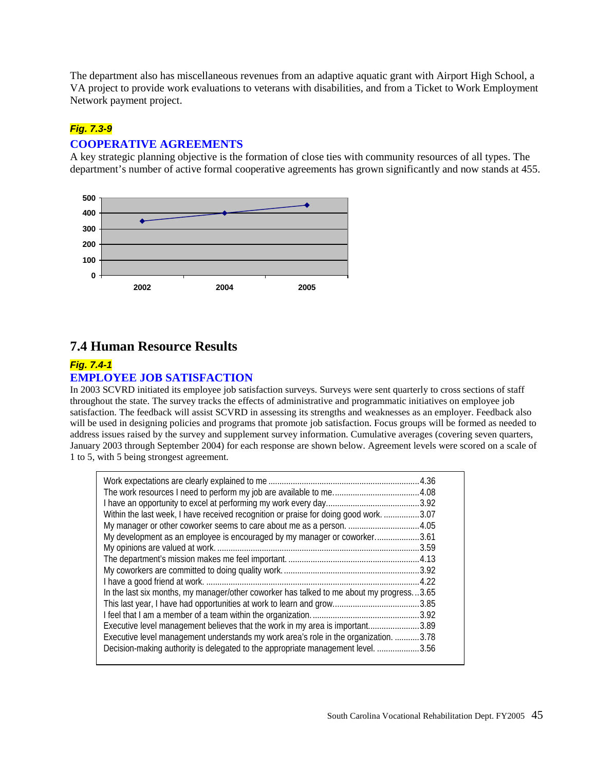The department also has miscellaneous revenues from an adaptive aquatic grant with Airport High School, a VA project to provide work evaluations to veterans with disabilities, and from a Ticket to Work Employment Network payment project.

### *Fig. 7.3-9*

#### **COOPERATIVE AGREEMENTS**

A key strategic planning objective is the formation of close ties with community resources of all types. The department's number of active formal cooperative agreements has grown significantly and now stands at 455.



# **7.4 Human Resource Results**

#### *Fig. 7.4-1* **EMPLOYEE JOB SATISFACTION**

In 2003 SCVRD initiated its employee job satisfaction surveys. Surveys were sent quarterly to cross sections of staff throughout the state. The survey tracks the effects of administrative and programmatic initiatives on employee job satisfaction. The feedback will assist SCVRD in assessing its strengths and weaknesses as an employer. Feedback also will be used in designing policies and programs that promote job satisfaction. Focus groups will be formed as needed to address issues raised by the survey and supplement survey information. Cumulative averages (covering seven quarters, January 2003 through September 2004) for each response are shown below. Agreement levels were scored on a scale of 1 to 5, with 5 being strongest agreement.

| Within the last week, I have received recognition or praise for doing good work          | .3.07 |
|------------------------------------------------------------------------------------------|-------|
| My manager or other coworker seems to care about me as a person.  4.05                   |       |
| My development as an employee is encouraged by my manager or coworker3.61                |       |
|                                                                                          | .3.59 |
|                                                                                          |       |
|                                                                                          |       |
|                                                                                          |       |
| In the last six months, my manager/other coworker has talked to me about my progress3.65 |       |
|                                                                                          | .3.85 |
|                                                                                          |       |
| Executive level management believes that the work in my area is important3.89            |       |
| Executive level management understands my work area's role in the organization. 3.78     |       |
| Decision-making authority is delegated to the appropriate management level.              | .3.56 |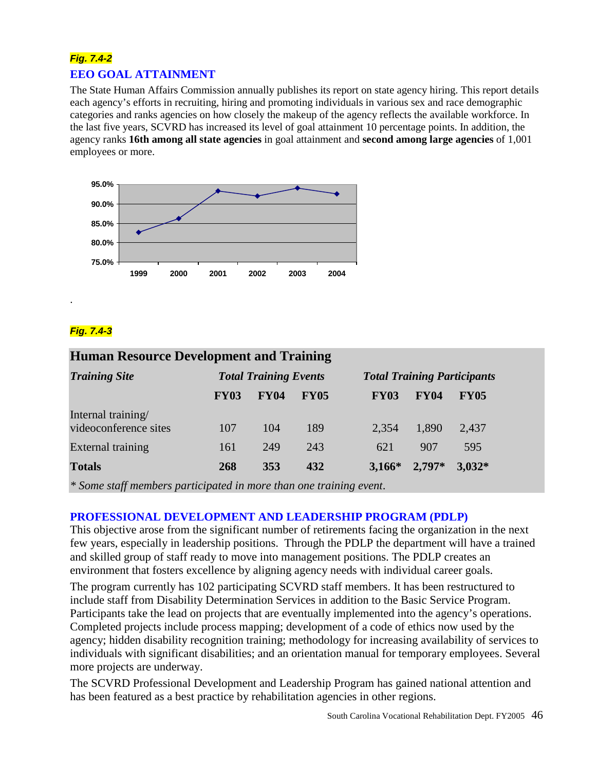# *Fig. 7.4-2* **EEO GOAL ATTAINMENT**

The State Human Affairs Commission annually publishes its report on state agency hiring. This report details each agency's efforts in recruiting, hiring and promoting individuals in various sex and race demographic categories and ranks agencies on how closely the makeup of the agency reflects the available workforce. In the last five years, SCVRD has increased its level of goal attainment 10 percentage points. In addition, the agency ranks **16th among all state agencies** in goal attainment and **second among large agencies** of 1,001 employees or more.



# *Fig. 7.4-3*

.

# **Human Resource Development and Training** *Training Site Total Training Events Total Training Participants* **FY03 FY04 FY05 FY03 FY04 FY05** Internal training/ videoconference sites 107 104 189 2,354 1,890 2,437 External training 161 249 243 621 907 595

**Totals 268 353 432 3,166\* 2,797\* 3,032\***

*\* Some staff members participated in more than one training event*.

# **PROFESSIONAL DEVELOPMENT AND LEADERSHIP PROGRAM (PDLP)**

This objective arose from the significant number of retirements facing the organization in the next few years, especially in leadership positions. Through the PDLP the department will have a trained and skilled group of staff ready to move into management positions. The PDLP creates an environment that fosters excellence by aligning agency needs with individual career goals.

The program currently has 102 participating SCVRD staff members. It has been restructured to include staff from Disability Determination Services in addition to the Basic Service Program. Participants take the lead on projects that are eventually implemented into the agency's operations. Completed projects include process mapping; development of a code of ethics now used by the agency; hidden disability recognition training; methodology for increasing availability of services to individuals with significant disabilities; and an orientation manual for temporary employees. Several more projects are underway.

The SCVRD Professional Development and Leadership Program has gained national attention and has been featured as a best practice by rehabilitation agencies in other regions.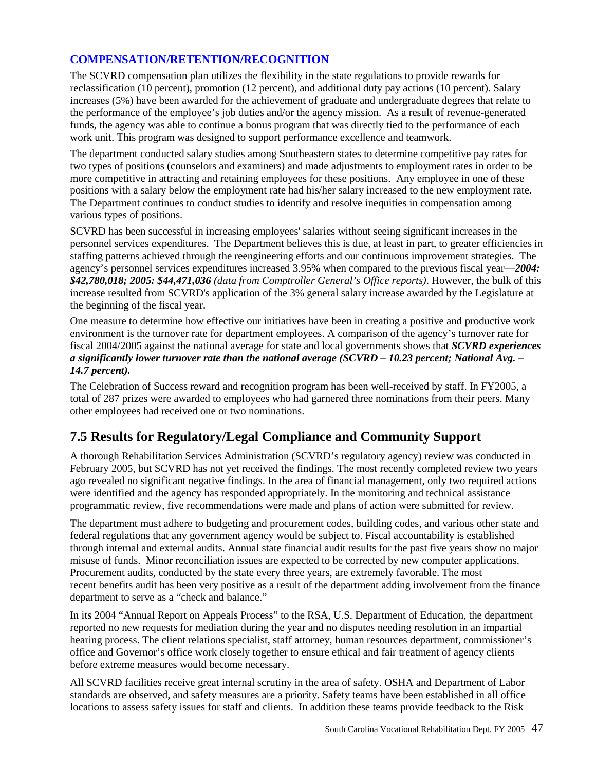# **COMPENSATION/RETENTION/RECOGNITION**

The SCVRD compensation plan utilizes the flexibility in the state regulations to provide rewards for reclassification (10 percent), promotion (12 percent), and additional duty pay actions (10 percent). Salary increases (5%) have been awarded for the achievement of graduate and undergraduate degrees that relate to the performance of the employee's job duties and/or the agency mission. As a result of revenue-generated funds, the agency was able to continue a bonus program that was directly tied to the performance of each work unit. This program was designed to support performance excellence and teamwork.

The department conducted salary studies among Southeastern states to determine competitive pay rates for two types of positions (counselors and examiners) and made adjustments to employment rates in order to be more competitive in attracting and retaining employees for these positions. Any employee in one of these positions with a salary below the employment rate had his/her salary increased to the new employment rate. The Department continues to conduct studies to identify and resolve inequities in compensation among various types of positions.

SCVRD has been successful in increasing employees' salaries without seeing significant increases in the personnel services expenditures. The Department believes this is due, at least in part, to greater efficiencies in staffing patterns achieved through the reengineering efforts and our continuous improvement strategies. The agency's personnel services expenditures increased 3.95% when compared to the previous fiscal year—*2004: \$42,780,018; 2005: \$44,471,036 (data from Comptroller General's Office reports)*. However, the bulk of this increase resulted from SCVRD's application of the 3% general salary increase awarded by the Legislature at the beginning of the fiscal year.

One measure to determine how effective our initiatives have been in creating a positive and productive work environment is the turnover rate for department employees. A comparison of the agency's turnover rate for fiscal 2004/2005 against the national average for state and local governments shows that *SCVRD experiences a significantly lower turnover rate than the national average (SCVRD – 10.23 percent; National Avg. – 14.7 percent).*

The Celebration of Success reward and recognition program has been well-received by staff. In FY2005, a total of 287 prizes were awarded to employees who had garnered three nominations from their peers. Many other employees had received one or two nominations.

# **7.5 Results for Regulatory/Legal Compliance and Community Support**

A thorough Rehabilitation Services Administration (SCVRD's regulatory agency) review was conducted in February 2005, but SCVRD has not yet received the findings. The most recently completed review two years ago revealed no significant negative findings. In the area of financial management, only two required actions were identified and the agency has responded appropriately. In the monitoring and technical assistance programmatic review, five recommendations were made and plans of action were submitted for review.

The department must adhere to budgeting and procurement codes, building codes, and various other state and federal regulations that any government agency would be subject to. Fiscal accountability is established through internal and external audits. Annual state financial audit results for the past five years show no major misuse of funds. Minor reconciliation issues are expected to be corrected by new computer applications. Procurement audits, conducted by the state every three years, are extremely favorable. The most recent benefits audit has been very positive as a result of the department adding involvement from the finance department to serve as a "check and balance."

In its 2004 "Annual Report on Appeals Process" to the RSA, U.S. Department of Education, the department reported no new requests for mediation during the year and no disputes needing resolution in an impartial hearing process. The client relations specialist, staff attorney, human resources department, commissioner's office and Governor's office work closely together to ensure ethical and fair treatment of agency clients before extreme measures would become necessary.

All SCVRD facilities receive great internal scrutiny in the area of safety. OSHA and Department of Labor standards are observed, and safety measures are a priority. Safety teams have been established in all office locations to assess safety issues for staff and clients. In addition these teams provide feedback to the Risk